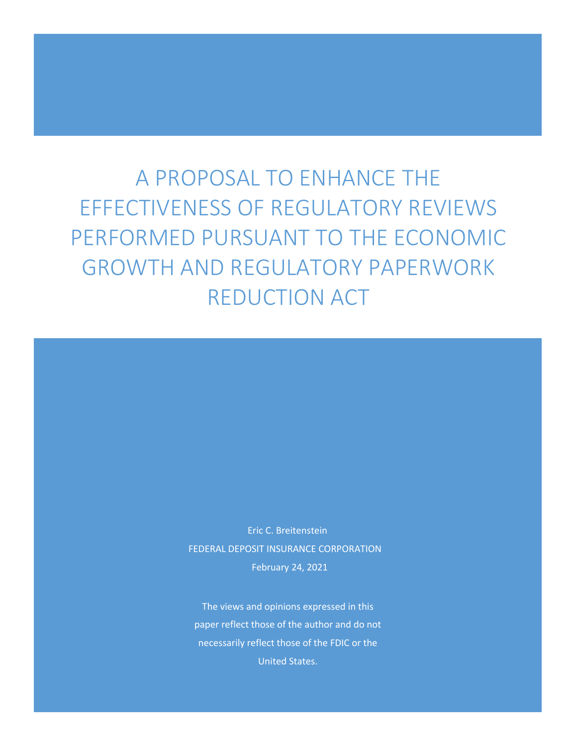A PROPOSAL TO ENHANCE THE EFFECTIVENESS OF REGULATORY REVIEWS PERFORMED PURSUANT TO THE ECONOMIC GROWTH AND REGULATORY PAPERWORK REDUCTION ACT

> Eric C. Breitenstein FEDERAL DEPOSIT INSURANCE CORPORATION February 24, 2021

The views and opinions expressed in this paper reflect those of the author and do not necessarily reflect those of the FDIC or the United States.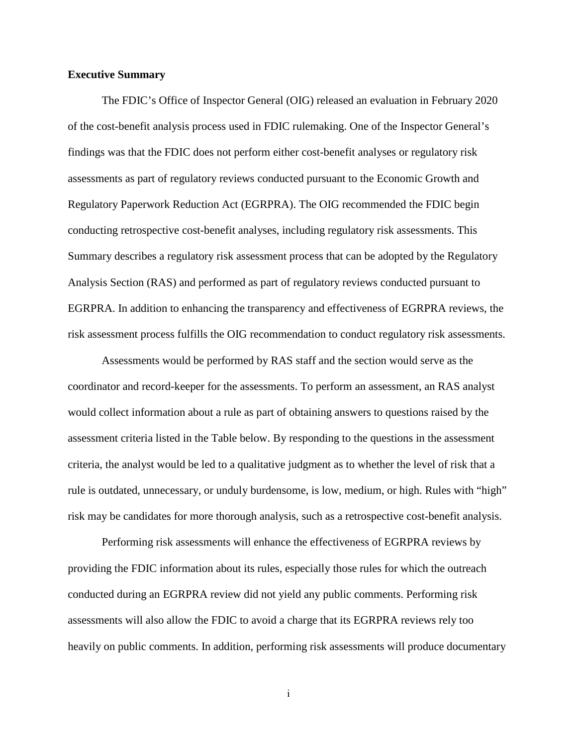#### **Executive Summary**

The FDIC's Office of Inspector General (OIG) released an evaluation in February 2020 of the cost-benefit analysis process used in FDIC rulemaking. One of the Inspector General's findings was that the FDIC does not perform either cost-benefit analyses or regulatory risk assessments as part of regulatory reviews conducted pursuant to the Economic Growth and Regulatory Paperwork Reduction Act (EGRPRA). The OIG recommended the FDIC begin conducting retrospective cost-benefit analyses, including regulatory risk assessments. This Summary describes a regulatory risk assessment process that can be adopted by the Regulatory Analysis Section (RAS) and performed as part of regulatory reviews conducted pursuant to EGRPRA. In addition to enhancing the transparency and effectiveness of EGRPRA reviews, the risk assessment process fulfills the OIG recommendation to conduct regulatory risk assessments.

Assessments would be performed by RAS staff and the section would serve as the coordinator and record-keeper for the assessments. To perform an assessment, an RAS analyst would collect information about a rule as part of obtaining answers to questions raised by the assessment criteria listed in the Table below. By responding to the questions in the assessment criteria, the analyst would be led to a qualitative judgment as to whether the level of risk that a rule is outdated, unnecessary, or unduly burdensome, is low, medium, or high. Rules with "high" risk may be candidates for more thorough analysis, such as a retrospective cost-benefit analysis.

Performing risk assessments will enhance the effectiveness of EGRPRA reviews by providing the FDIC information about its rules, especially those rules for which the outreach conducted during an EGRPRA review did not yield any public comments. Performing risk assessments will also allow the FDIC to avoid a charge that its EGRPRA reviews rely too heavily on public comments. In addition, performing risk assessments will produce documentary

i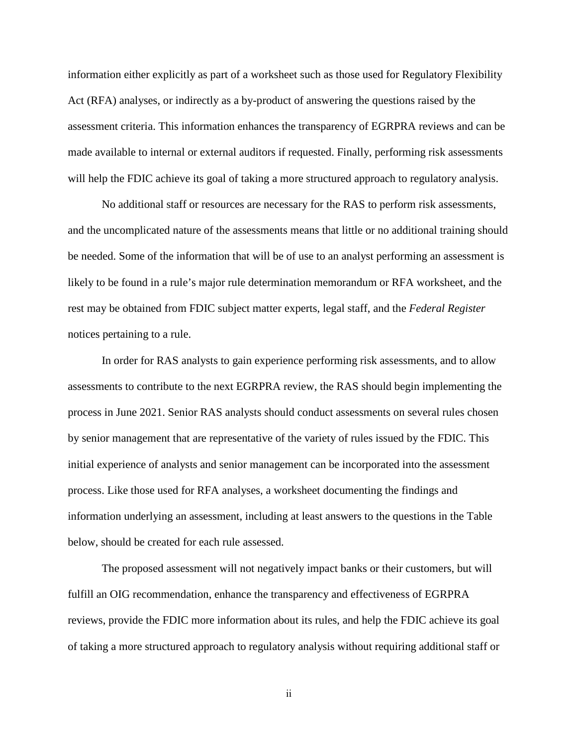information either explicitly as part of a worksheet such as those used for Regulatory Flexibility Act (RFA) analyses, or indirectly as a by-product of answering the questions raised by the assessment criteria. This information enhances the transparency of EGRPRA reviews and can be made available to internal or external auditors if requested. Finally, performing risk assessments will help the FDIC achieve its goal of taking a more structured approach to regulatory analysis.

No additional staff or resources are necessary for the RAS to perform risk assessments, and the uncomplicated nature of the assessments means that little or no additional training should be needed. Some of the information that will be of use to an analyst performing an assessment is likely to be found in a rule's major rule determination memorandum or RFA worksheet, and the rest may be obtained from FDIC subject matter experts, legal staff, and the *Federal Register* notices pertaining to a rule.

In order for RAS analysts to gain experience performing risk assessments, and to allow assessments to contribute to the next EGRPRA review, the RAS should begin implementing the process in June 2021. Senior RAS analysts should conduct assessments on several rules chosen by senior management that are representative of the variety of rules issued by the FDIC. This initial experience of analysts and senior management can be incorporated into the assessment process. Like those used for RFA analyses, a worksheet documenting the findings and information underlying an assessment, including at least answers to the questions in the Table below, should be created for each rule assessed.

The proposed assessment will not negatively impact banks or their customers, but will fulfill an OIG recommendation, enhance the transparency and effectiveness of EGRPRA reviews, provide the FDIC more information about its rules, and help the FDIC achieve its goal of taking a more structured approach to regulatory analysis without requiring additional staff or

ii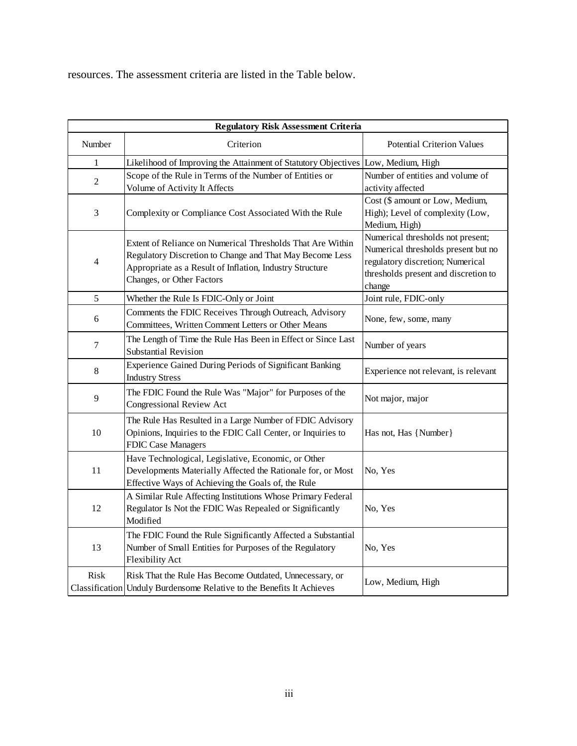resources. The assessment criteria are listed in the Table below.

| <b>Regulatory Risk Assessment Criteria</b> |                                                                                                                                                                                                                 |                                                                                                                                                                |  |  |  |  |  |
|--------------------------------------------|-----------------------------------------------------------------------------------------------------------------------------------------------------------------------------------------------------------------|----------------------------------------------------------------------------------------------------------------------------------------------------------------|--|--|--|--|--|
| Number                                     | Criterion                                                                                                                                                                                                       | <b>Potential Criterion Values</b>                                                                                                                              |  |  |  |  |  |
| 1                                          | Likelihood of Improving the Attainment of Statutory Objectives                                                                                                                                                  | Low, Medium, High                                                                                                                                              |  |  |  |  |  |
| $\overline{2}$                             | Scope of the Rule in Terms of the Number of Entities or<br>Volume of Activity It Affects                                                                                                                        | Number of entities and volume of<br>activity affected                                                                                                          |  |  |  |  |  |
| 3                                          | Complexity or Compliance Cost Associated With the Rule                                                                                                                                                          | Cost (\$ amount or Low, Medium,<br>High); Level of complexity (Low,<br>Medium, High)                                                                           |  |  |  |  |  |
| $\overline{4}$                             | Extent of Reliance on Numerical Thresholds That Are Within<br>Regulatory Discretion to Change and That May Become Less<br>Appropriate as a Result of Inflation, Industry Structure<br>Changes, or Other Factors | Numerical thresholds not present;<br>Numerical thresholds present but no<br>regulatory discretion; Numerical<br>thresholds present and discretion to<br>change |  |  |  |  |  |
| $\sqrt{5}$                                 | Whether the Rule Is FDIC-Only or Joint                                                                                                                                                                          | Joint rule, FDIC-only                                                                                                                                          |  |  |  |  |  |
| 6                                          | Comments the FDIC Receives Through Outreach, Advisory<br>Committees, Written Comment Letters or Other Means                                                                                                     | None, few, some, many                                                                                                                                          |  |  |  |  |  |
| $\boldsymbol{7}$                           | The Length of Time the Rule Has Been in Effect or Since Last<br>Substantial Revision                                                                                                                            | Number of years                                                                                                                                                |  |  |  |  |  |
| 8                                          | Experience Gained During Periods of Significant Banking<br><b>Industry Stress</b>                                                                                                                               | Experience not relevant, is relevant                                                                                                                           |  |  |  |  |  |
| 9                                          | The FDIC Found the Rule Was "Major" for Purposes of the<br>Congressional Review Act                                                                                                                             | Not major, major                                                                                                                                               |  |  |  |  |  |
| 10                                         | The Rule Has Resulted in a Large Number of FDIC Advisory<br>Opinions, Inquiries to the FDIC Call Center, or Inquiries to<br>FDIC Case Managers                                                                  | Has not, Has {Number}                                                                                                                                          |  |  |  |  |  |
| 11                                         | Have Technological, Legislative, Economic, or Other<br>Developments Materially Affected the Rationale for, or Most<br>Effective Ways of Achieving the Goals of, the Rule                                        | No, Yes                                                                                                                                                        |  |  |  |  |  |
| 12                                         | A Similar Rule Affecting Institutions Whose Primary Federal<br>Regulator Is Not the FDIC Was Repealed or Significantly<br>Modified                                                                              | No, Yes                                                                                                                                                        |  |  |  |  |  |
| 13                                         | The FDIC Found the Rule Significantly Affected a Substantial<br>Number of Small Entities for Purposes of the Regulatory<br><b>Flexibility Act</b>                                                               | No. Yes                                                                                                                                                        |  |  |  |  |  |
| Risk                                       | Risk That the Rule Has Become Outdated, Unnecessary, or<br>Classification   Unduly Burdensome Relative to the Benefits It Achieves                                                                              | Low, Medium, High                                                                                                                                              |  |  |  |  |  |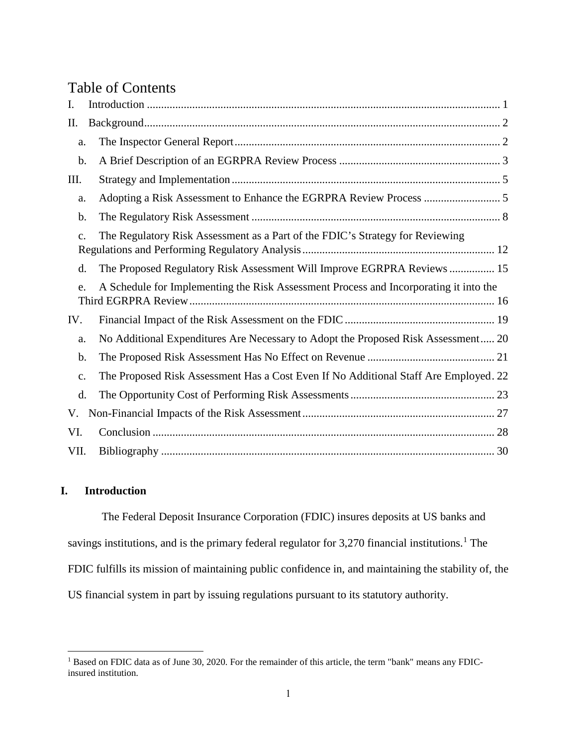# Table of Contents

| I.             |                                                                                       |
|----------------|---------------------------------------------------------------------------------------|
| Π.             |                                                                                       |
| a.             |                                                                                       |
| b.             |                                                                                       |
| III.           |                                                                                       |
| a.             |                                                                                       |
| b.             |                                                                                       |
| $\mathbf{C}$ . | The Regulatory Risk Assessment as a Part of the FDIC's Strategy for Reviewing         |
| d.             | The Proposed Regulatory Risk Assessment Will Improve EGRPRA Reviews  15               |
| e.             | A Schedule for Implementing the Risk Assessment Process and Incorporating it into the |
| IV.            |                                                                                       |
| a.             | No Additional Expenditures Are Necessary to Adopt the Proposed Risk Assessment 20     |
| b.             |                                                                                       |
| c.             | The Proposed Risk Assessment Has a Cost Even If No Additional Staff Are Employed. 22  |
| d.             |                                                                                       |
| V.             |                                                                                       |
| VI.            |                                                                                       |
| VII.           |                                                                                       |

### <span id="page-4-0"></span>**I. Introduction**

The Federal Deposit Insurance Corporation (FDIC) insures deposits at US banks and savings institutions, and is the primary federal regulator for  $3,270$  financial institutions.<sup>[1](#page-4-1)</sup> The FDIC fulfills its mission of maintaining public confidence in, and maintaining the stability of, the US financial system in part by issuing regulations pursuant to its statutory authority.

<span id="page-4-1"></span><sup>&</sup>lt;sup>1</sup> Based on FDIC data as of June 30, 2020. For the remainder of this article, the term "bank" means any FDICinsured institution.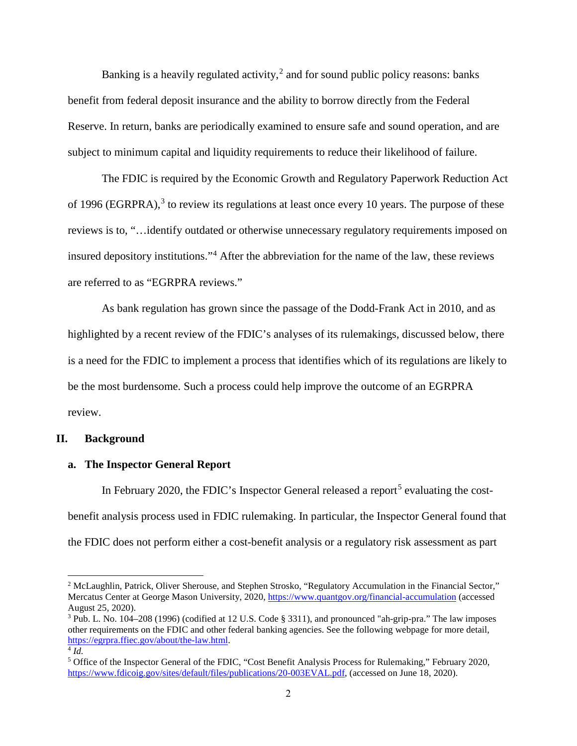Banking is a heavily regulated activity,<sup>[2](#page-5-2)</sup> and for sound public policy reasons: banks benefit from federal deposit insurance and the ability to borrow directly from the Federal Reserve. In return, banks are periodically examined to ensure safe and sound operation, and are subject to minimum capital and liquidity requirements to reduce their likelihood of failure.

The FDIC is required by the Economic Growth and Regulatory Paperwork Reduction Act of 1996 (EGRPRA), $3$  to review its regulations at least once every 10 years. The purpose of these reviews is to, "…identify outdated or otherwise unnecessary regulatory requirements imposed on insured depository institutions."[4](#page-5-4) After the abbreviation for the name of the law, these reviews are referred to as "EGRPRA reviews."

As bank regulation has grown since the passage of the Dodd-Frank Act in 2010, and as highlighted by a recent review of the FDIC's analyses of its rulemakings, discussed below, there is a need for the FDIC to implement a process that identifies which of its regulations are likely to be the most burdensome. Such a process could help improve the outcome of an EGRPRA review.

#### <span id="page-5-0"></span>**II. Background**

#### <span id="page-5-1"></span>**a. The Inspector General Report**

In February 2020, the FDIC's Inspector General released a report<sup>[5](#page-5-5)</sup> evaluating the costbenefit analysis process used in FDIC rulemaking. In particular, the Inspector General found that the FDIC does not perform either a cost-benefit analysis or a regulatory risk assessment as part

<span id="page-5-2"></span><sup>&</sup>lt;sup>2</sup> McLaughlin, Patrick, Oliver Sherouse, and Stephen Strosko, "Regulatory Accumulation in the Financial Sector," Mercatus Center at George Mason University, 2020, <https://www.quantgov.org/financial-accumulation> (accessed August 25, 2020).<br><sup>3</sup> Pub. L. No. 104–208 (1996) (codified at 12 U.S. Code § 3311), and pronounced "ah-grip-pra." The law imposes

<span id="page-5-3"></span>other requirements on the FDIC and other federal banking agencies. See the following webpage for more detail, [https://egrpra.ffiec.gov/about/the-law.html.](https://egrpra.ffiec.gov/about/the-law.html)

<span id="page-5-4"></span> $4 \overline{Id}$ .

<span id="page-5-5"></span><sup>5</sup> Office of the Inspector General of the FDIC, "Cost Benefit Analysis Process for Rulemaking," February 2020, [https://www.fdicoig.gov/sites/default/files/publications/20-003EVAL.pdf,](https://www.fdicoig.gov/sites/default/files/publications/20-003EVAL.pdf) (accessed on June 18, 2020).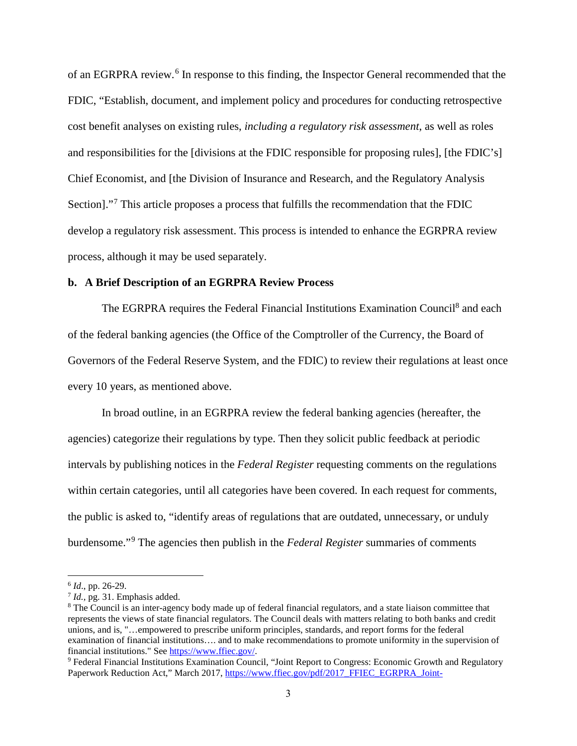of an EGRPRA review.<sup>[6](#page-6-1)</sup> In response to this finding, the Inspector General recommended that the FDIC, "Establish, document, and implement policy and procedures for conducting retrospective cost benefit analyses on existing rules, *including a regulatory risk assessment*, as well as roles and responsibilities for the [divisions at the FDIC responsible for proposing rules], [the FDIC's] Chief Economist, and [the Division of Insurance and Research, and the Regulatory Analysis Section]."[7](#page-6-2) This article proposes a process that fulfills the recommendation that the FDIC develop a regulatory risk assessment. This process is intended to enhance the EGRPRA review process, although it may be used separately.

#### <span id="page-6-0"></span>**b. A Brief Description of an EGRPRA Review Process**

The EGRPRA requires the Federal Financial Institutions Examination Council<sup>[8](#page-6-3)</sup> and each of the federal banking agencies (the Office of the Comptroller of the Currency, the Board of Governors of the Federal Reserve System, and the FDIC) to review their regulations at least once every 10 years, as mentioned above.

In broad outline, in an EGRPRA review the federal banking agencies (hereafter, the agencies) categorize their regulations by type. Then they solicit public feedback at periodic intervals by publishing notices in the *Federal Register* requesting comments on the regulations within certain categories, until all categories have been covered. In each request for comments, the public is asked to, "identify areas of regulations that are outdated, unnecessary, or unduly burdensome."[9](#page-6-4) The agencies then publish in the *Federal Register* summaries of comments

<span id="page-6-1"></span><sup>6</sup> *Id*., pp. 26-29.

<span id="page-6-2"></span><sup>7</sup> *Id.,* pg. 31. Emphasis added.

<span id="page-6-3"></span><sup>&</sup>lt;sup>8</sup> The Council is an inter-agency body made up of federal financial regulators, and a state liaison committee that represents the views of state financial regulators. The Council deals with matters relating to both banks and credit unions, and is, "…empowered to prescribe uniform principles, standards, and report forms for the federal examination of financial institutions.... and to make recommendations to promote uniformity in the supervision of financial institutions." See https://www.ffiec.gov/.

<span id="page-6-4"></span><sup>&</sup>lt;sup>9</sup> Federal Financial Institutions Examination Council, "Joint Report to Congress: Economic Growth and Regulatory Paperwork Reduction Act," March 2017, [https://www.ffiec.gov/pdf/2017\\_FFIEC\\_EGRPRA\\_Joint-](https://www.ffiec.gov/pdf/2017_FFIEC_EGRPRA_Joint-Report_to_Congress.pdf)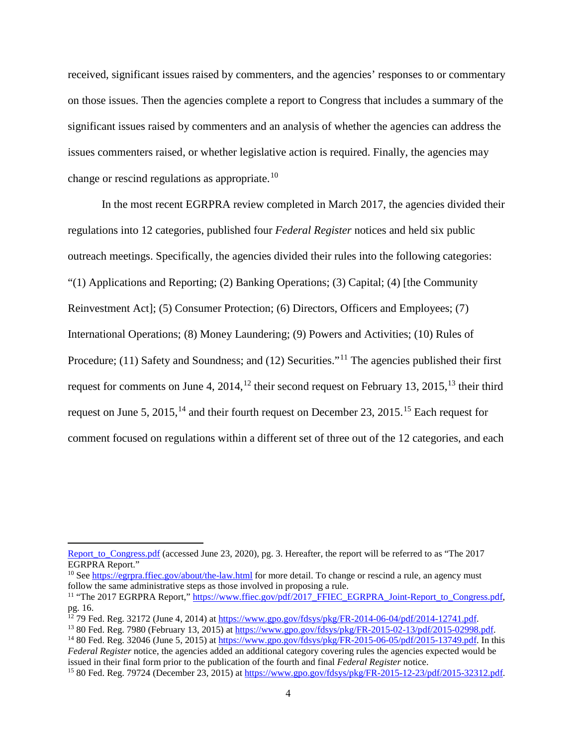received, significant issues raised by commenters, and the agencies' responses to or commentary on those issues. Then the agencies complete a report to Congress that includes a summary of the significant issues raised by commenters and an analysis of whether the agencies can address the issues commenters raised, or whether legislative action is required. Finally, the agencies may change or rescind regulations as appropriate.<sup>[10](#page-7-0)</sup>

In the most recent EGRPRA review completed in March 2017, the agencies divided their regulations into 12 categories, published four *Federal Register* notices and held six public outreach meetings. Specifically, the agencies divided their rules into the following categories: "(1) Applications and Reporting; (2) Banking Operations; (3) Capital; (4) [the Community Reinvestment Act]; (5) Consumer Protection; (6) Directors, Officers and Employees; (7) International Operations; (8) Money Laundering; (9) Powers and Activities; (10) Rules of Procedure; ([11](#page-7-1)) Safety and Soundness; and (12) Securities."<sup>11</sup> The agencies published their first request for comments on June 4, 2014,<sup>12</sup> their second request on February [13](#page-7-3), 2015,<sup>13</sup> their third request on June 5, 2015,<sup>[14](#page-7-4)</sup> and their fourth request on December 23, 20[15](#page-7-5).<sup>15</sup> Each request for comment focused on regulations within a different set of three out of the 12 categories, and each

[Report\\_to\\_Congress.pdf](https://www.ffiec.gov/pdf/2017_FFIEC_EGRPRA_Joint-Report_to_Congress.pdf) (accessed June 23, 2020), pg. 3. Hereafter, the report will be referred to as "The 2017 EGRPRA Report."

<span id="page-7-0"></span><sup>&</sup>lt;sup>10</sup> See <https://egrpra.ffiec.gov/about/the-law.html> for more detail. To change or rescind a rule, an agency must follow the same administrative steps as those involved in proposing a rule.

<span id="page-7-1"></span><sup>&</sup>lt;sup>11</sup> "The 2017 EGRPRA Report,[" https://www.ffiec.gov/pdf/2017\\_FFIEC\\_EGRPRA\\_Joint-Report\\_to\\_Congress.pdf,](https://www.ffiec.gov/pdf/2017_FFIEC_EGRPRA_Joint-Report_to_Congress.pdf) pg. 16.<br><sup>12</sup> 79 Fed. Reg. 32172 (June 4, 2014) at https://www.gpo.gov/fdsys/pkg/FR-2014-06-04/pdf/2014-12741.pdf.

<span id="page-7-3"></span><span id="page-7-2"></span><sup>&</sup>lt;sup>13</sup> 80 Fed. Reg. 7980 (February 13, 2015) a[t https://www.gpo.gov/fdsys/pkg/FR-2015-02-13/pdf/2015-02998.pdf.](https://www.gpo.gov/fdsys/pkg/FR-2015-02-13/pdf/2015-02998.pdf)<br><sup>14</sup> 80 Fed. Reg. 32046 (June 5, 2015) at [https://www.gpo.gov/fdsys/pkg/FR-2015-06-05/pdf/2015-13749.pdf.](https://www.gpo.gov/fdsys/pkg/FR-2015-06-05/pdf/2015-13749.pdf) In th

<span id="page-7-4"></span>*Federal Register* notice, the agencies added an additional category covering rules the agencies expected would be issued in their final form prior to the publication of the fourth and final *Federal Register* notice.

<span id="page-7-5"></span><sup>15</sup> 80 Fed. Reg. 79724 (December 23, 2015) at [https://www.gpo.gov/fdsys/pkg/FR-2015-12-23/pdf/2015-32312.pdf.](https://www.gpo.gov/fdsys/pkg/FR-2015-12-23/pdf/2015-32312.pdf)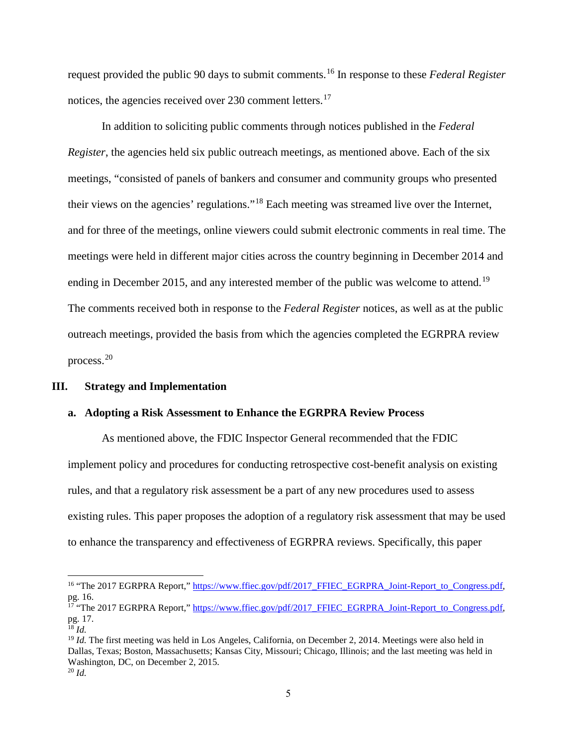request provided the public 90 days to submit comments.[16](#page-8-2) In response to these *Federal Register* notices, the agencies received over 230 comment letters.<sup>[17](#page-8-3)</sup>

In addition to soliciting public comments through notices published in the *Federal Register*, the agencies held six public outreach meetings, as mentioned above. Each of the six meetings, "consisted of panels of bankers and consumer and community groups who presented their views on the agencies' regulations."[18](#page-8-4) Each meeting was streamed live over the Internet, and for three of the meetings, online viewers could submit electronic comments in real time. The meetings were held in different major cities across the country beginning in December 2014 and ending in December 2015, and any interested member of the public was welcome to attend.<sup>[19](#page-8-5)</sup> The comments received both in response to the *Federal Register* notices, as well as at the public outreach meetings, provided the basis from which the agencies completed the EGRPRA review process.[20](#page-8-6)

#### <span id="page-8-0"></span>**III. Strategy and Implementation**

#### <span id="page-8-1"></span>**a. Adopting a Risk Assessment to Enhance the EGRPRA Review Process**

As mentioned above, the FDIC Inspector General recommended that the FDIC implement policy and procedures for conducting retrospective cost-benefit analysis on existing rules, and that a regulatory risk assessment be a part of any new procedures used to assess existing rules. This paper proposes the adoption of a regulatory risk assessment that may be used to enhance the transparency and effectiveness of EGRPRA reviews. Specifically, this paper

<span id="page-8-2"></span><sup>&</sup>lt;sup>16</sup> "The 2017 EGRPRA Report,[" https://www.ffiec.gov/pdf/2017\\_FFIEC\\_EGRPRA\\_Joint-Report\\_to\\_Congress.pdf,](https://www.ffiec.gov/pdf/2017_FFIEC_EGRPRA_Joint-Report_to_Congress.pdf) pg. 16.

<span id="page-8-3"></span><sup>&</sup>lt;sup>17</sup> "The 2017 EGRPRA Report,[" https://www.ffiec.gov/pdf/2017\\_FFIEC\\_EGRPRA\\_Joint-Report\\_to\\_Congress.pdf,](https://www.ffiec.gov/pdf/2017_FFIEC_EGRPRA_Joint-Report_to_Congress.pdf) pg. 17.

<span id="page-8-6"></span><span id="page-8-5"></span><span id="page-8-4"></span>

<sup>&</sup>lt;sup>18</sup> *Id.*<br><sup>19</sup> *Id.* The first meeting was held in Los Angeles, California, on December 2, 2014. Meetings were also held in Dallas, Texas; Boston, Massachusetts; Kansas City, Missouri; Chicago, Illinois; and the last meeting was held in Washington, DC, on December 2, 2015. <sup>20</sup> *Id.*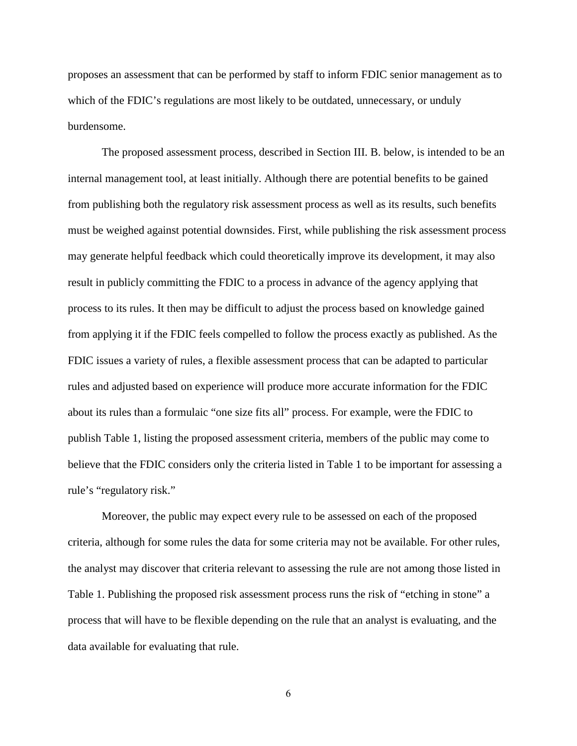proposes an assessment that can be performed by staff to inform FDIC senior management as to which of the FDIC's regulations are most likely to be outdated, unnecessary, or unduly burdensome.

The proposed assessment process, described in Section III. B. below, is intended to be an internal management tool, at least initially. Although there are potential benefits to be gained from publishing both the regulatory risk assessment process as well as its results, such benefits must be weighed against potential downsides. First, while publishing the risk assessment process may generate helpful feedback which could theoretically improve its development, it may also result in publicly committing the FDIC to a process in advance of the agency applying that process to its rules. It then may be difficult to adjust the process based on knowledge gained from applying it if the FDIC feels compelled to follow the process exactly as published. As the FDIC issues a variety of rules, a flexible assessment process that can be adapted to particular rules and adjusted based on experience will produce more accurate information for the FDIC about its rules than a formulaic "one size fits all" process. For example, were the FDIC to publish Table 1, listing the proposed assessment criteria, members of the public may come to believe that the FDIC considers only the criteria listed in Table 1 to be important for assessing a rule's "regulatory risk."

Moreover, the public may expect every rule to be assessed on each of the proposed criteria, although for some rules the data for some criteria may not be available. For other rules, the analyst may discover that criteria relevant to assessing the rule are not among those listed in Table 1. Publishing the proposed risk assessment process runs the risk of "etching in stone" a process that will have to be flexible depending on the rule that an analyst is evaluating, and the data available for evaluating that rule.

6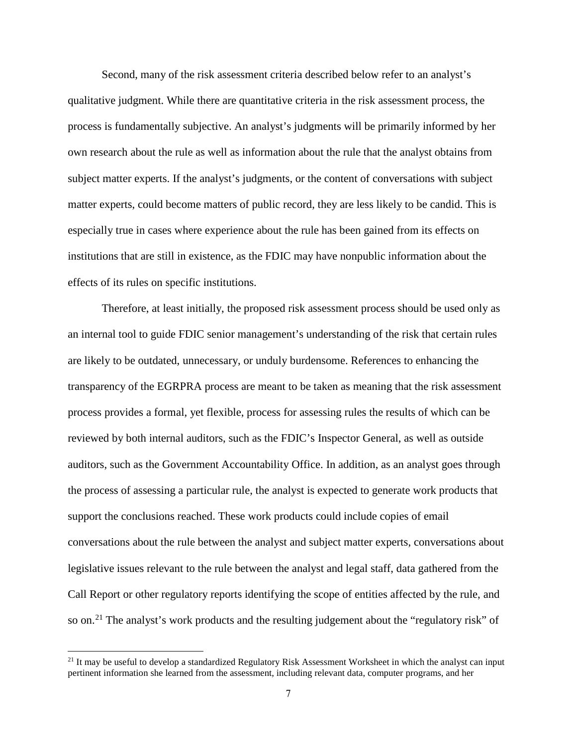Second, many of the risk assessment criteria described below refer to an analyst's qualitative judgment. While there are quantitative criteria in the risk assessment process, the process is fundamentally subjective. An analyst's judgments will be primarily informed by her own research about the rule as well as information about the rule that the analyst obtains from subject matter experts. If the analyst's judgments, or the content of conversations with subject matter experts, could become matters of public record, they are less likely to be candid. This is especially true in cases where experience about the rule has been gained from its effects on institutions that are still in existence, as the FDIC may have nonpublic information about the effects of its rules on specific institutions.

Therefore, at least initially, the proposed risk assessment process should be used only as an internal tool to guide FDIC senior management's understanding of the risk that certain rules are likely to be outdated, unnecessary, or unduly burdensome. References to enhancing the transparency of the EGRPRA process are meant to be taken as meaning that the risk assessment process provides a formal, yet flexible, process for assessing rules the results of which can be reviewed by both internal auditors, such as the FDIC's Inspector General, as well as outside auditors, such as the Government Accountability Office. In addition, as an analyst goes through the process of assessing a particular rule, the analyst is expected to generate work products that support the conclusions reached. These work products could include copies of email conversations about the rule between the analyst and subject matter experts, conversations about legislative issues relevant to the rule between the analyst and legal staff, data gathered from the Call Report or other regulatory reports identifying the scope of entities affected by the rule, and so on.<sup>[21](#page-10-0)</sup> The analyst's work products and the resulting judgement about the "regulatory risk" of

<span id="page-10-0"></span> $21$  It may be useful to develop a standardized Regulatory Risk Assessment Worksheet in which the analyst can input pertinent information she learned from the assessment, including relevant data, computer programs, and her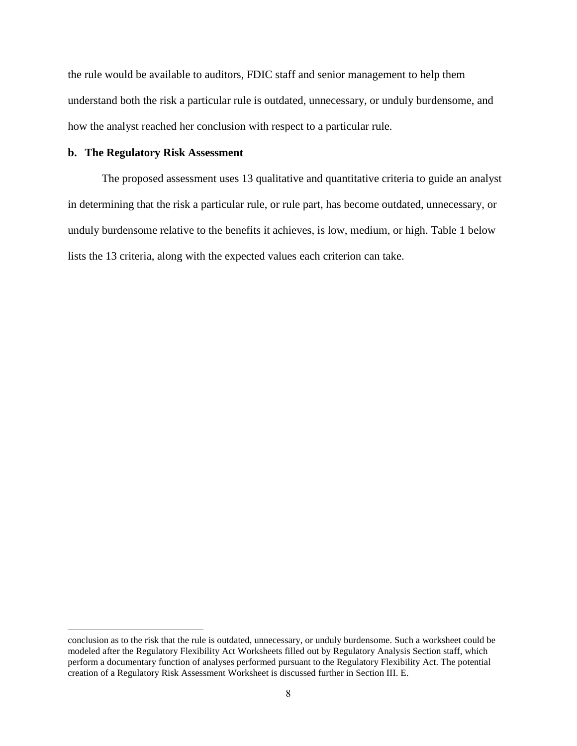the rule would be available to auditors, FDIC staff and senior management to help them understand both the risk a particular rule is outdated, unnecessary, or unduly burdensome, and how the analyst reached her conclusion with respect to a particular rule.

#### <span id="page-11-0"></span>**b. The Regulatory Risk Assessment**

The proposed assessment uses 13 qualitative and quantitative criteria to guide an analyst in determining that the risk a particular rule, or rule part, has become outdated, unnecessary, or unduly burdensome relative to the benefits it achieves, is low, medium, or high. Table 1 below lists the 13 criteria, along with the expected values each criterion can take.

conclusion as to the risk that the rule is outdated, unnecessary, or unduly burdensome. Such a worksheet could be modeled after the Regulatory Flexibility Act Worksheets filled out by Regulatory Analysis Section staff, which perform a documentary function of analyses performed pursuant to the Regulatory Flexibility Act. The potential creation of a Regulatory Risk Assessment Worksheet is discussed further in Section III. E.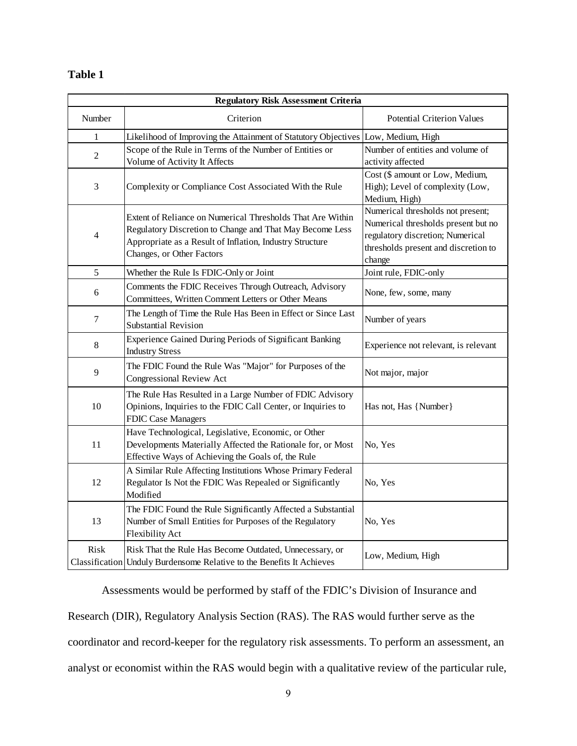## **Table 1**

| <b>Regulatory Risk Assessment Criteria</b> |                                                                                                                                                                                                                 |                                                                                                                                                                |  |  |  |  |
|--------------------------------------------|-----------------------------------------------------------------------------------------------------------------------------------------------------------------------------------------------------------------|----------------------------------------------------------------------------------------------------------------------------------------------------------------|--|--|--|--|
| Number                                     | Criterion                                                                                                                                                                                                       | Potential Criterion Values                                                                                                                                     |  |  |  |  |
| $\mathbf{1}$                               | Likelihood of Improving the Attainment of Statutory Objectives                                                                                                                                                  | Low, Medium, High                                                                                                                                              |  |  |  |  |
| $\mathfrak{2}$                             | Scope of the Rule in Terms of the Number of Entities or<br>Volume of Activity It Affects                                                                                                                        | Number of entities and volume of<br>activity affected                                                                                                          |  |  |  |  |
| 3                                          | Complexity or Compliance Cost Associated With the Rule                                                                                                                                                          | Cost (\$ amount or Low, Medium,<br>High); Level of complexity (Low,<br>Medium, High)                                                                           |  |  |  |  |
| 4                                          | Extent of Reliance on Numerical Thresholds That Are Within<br>Regulatory Discretion to Change and That May Become Less<br>Appropriate as a Result of Inflation, Industry Structure<br>Changes, or Other Factors | Numerical thresholds not present;<br>Numerical thresholds present but no<br>regulatory discretion; Numerical<br>thresholds present and discretion to<br>change |  |  |  |  |
| 5                                          | Whether the Rule Is FDIC-Only or Joint                                                                                                                                                                          | Joint rule, FDIC-only                                                                                                                                          |  |  |  |  |
| 6                                          | Comments the FDIC Receives Through Outreach, Advisory<br>Committees, Written Comment Letters or Other Means                                                                                                     | None, few, some, many                                                                                                                                          |  |  |  |  |
| 7                                          | The Length of Time the Rule Has Been in Effect or Since Last<br><b>Substantial Revision</b>                                                                                                                     | Number of years                                                                                                                                                |  |  |  |  |
| 8                                          | Experience Gained During Periods of Significant Banking<br><b>Industry Stress</b>                                                                                                                               | Experience not relevant, is relevant                                                                                                                           |  |  |  |  |
| 9                                          | The FDIC Found the Rule Was "Major" for Purposes of the<br>Congressional Review Act                                                                                                                             | Not major, major                                                                                                                                               |  |  |  |  |
| 10                                         | The Rule Has Resulted in a Large Number of FDIC Advisory<br>Opinions, Inquiries to the FDIC Call Center, or Inquiries to<br><b>FDIC Case Managers</b>                                                           | Has not, Has {Number}                                                                                                                                          |  |  |  |  |
| 11                                         | Have Technological, Legislative, Economic, or Other<br>Developments Materially Affected the Rationale for, or Most<br>Effective Ways of Achieving the Goals of, the Rule                                        | No, Yes                                                                                                                                                        |  |  |  |  |
| 12                                         | A Similar Rule Affecting Institutions Whose Primary Federal<br>Regulator Is Not the FDIC Was Repealed or Significantly<br>Modified                                                                              | No, Yes                                                                                                                                                        |  |  |  |  |
| 13                                         | The FDIC Found the Rule Significantly Affected a Substantial<br>Number of Small Entities for Purposes of the Regulatory<br>Flexibility Act                                                                      | No, Yes                                                                                                                                                        |  |  |  |  |
| Risk                                       | Risk That the Rule Has Become Outdated, Unnecessary, or<br>Classification Unduly Burdensome Relative to the Benefits It Achieves                                                                                | Low, Medium, High                                                                                                                                              |  |  |  |  |

Assessments would be performed by staff of the FDIC's Division of Insurance and Research (DIR), Regulatory Analysis Section (RAS). The RAS would further serve as the coordinator and record-keeper for the regulatory risk assessments. To perform an assessment, an analyst or economist within the RAS would begin with a qualitative review of the particular rule,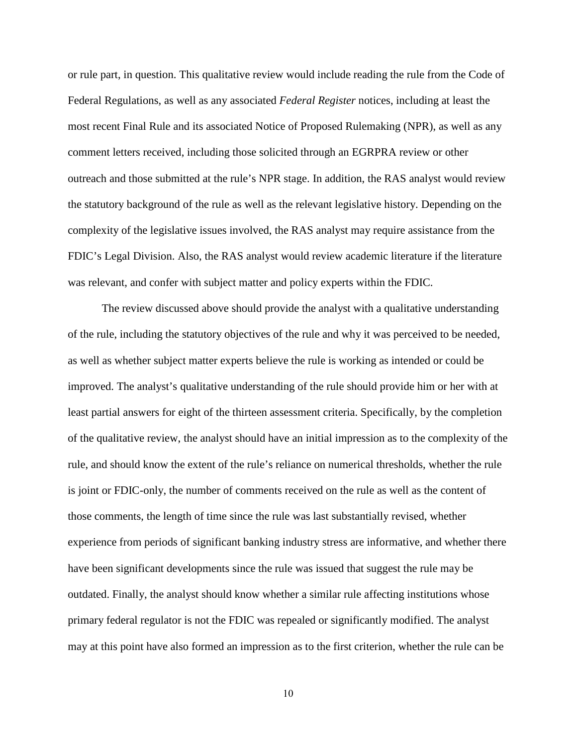or rule part, in question. This qualitative review would include reading the rule from the Code of Federal Regulations, as well as any associated *Federal Register* notices, including at least the most recent Final Rule and its associated Notice of Proposed Rulemaking (NPR), as well as any comment letters received, including those solicited through an EGRPRA review or other outreach and those submitted at the rule's NPR stage. In addition, the RAS analyst would review the statutory background of the rule as well as the relevant legislative history. Depending on the complexity of the legislative issues involved, the RAS analyst may require assistance from the FDIC's Legal Division. Also, the RAS analyst would review academic literature if the literature was relevant, and confer with subject matter and policy experts within the FDIC.

The review discussed above should provide the analyst with a qualitative understanding of the rule, including the statutory objectives of the rule and why it was perceived to be needed, as well as whether subject matter experts believe the rule is working as intended or could be improved. The analyst's qualitative understanding of the rule should provide him or her with at least partial answers for eight of the thirteen assessment criteria. Specifically, by the completion of the qualitative review, the analyst should have an initial impression as to the complexity of the rule, and should know the extent of the rule's reliance on numerical thresholds, whether the rule is joint or FDIC-only, the number of comments received on the rule as well as the content of those comments, the length of time since the rule was last substantially revised, whether experience from periods of significant banking industry stress are informative, and whether there have been significant developments since the rule was issued that suggest the rule may be outdated. Finally, the analyst should know whether a similar rule affecting institutions whose primary federal regulator is not the FDIC was repealed or significantly modified. The analyst may at this point have also formed an impression as to the first criterion, whether the rule can be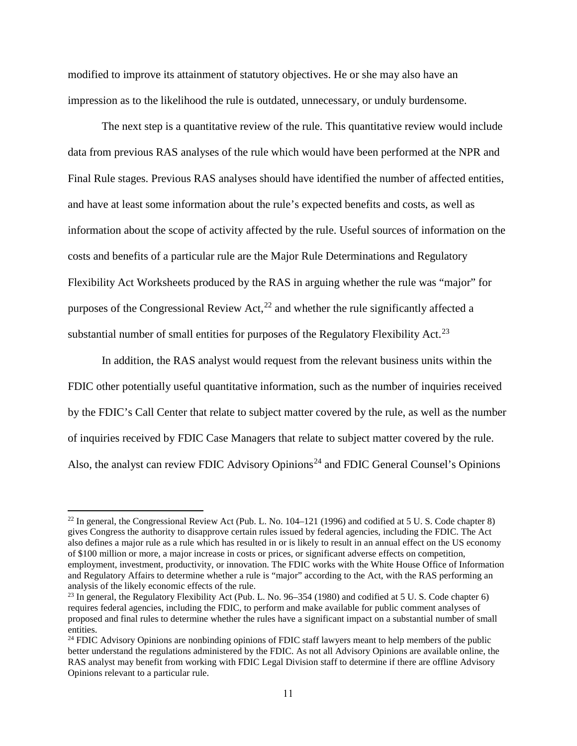modified to improve its attainment of statutory objectives. He or she may also have an impression as to the likelihood the rule is outdated, unnecessary, or unduly burdensome.

The next step is a quantitative review of the rule. This quantitative review would include data from previous RAS analyses of the rule which would have been performed at the NPR and Final Rule stages. Previous RAS analyses should have identified the number of affected entities, and have at least some information about the rule's expected benefits and costs, as well as information about the scope of activity affected by the rule. Useful sources of information on the costs and benefits of a particular rule are the Major Rule Determinations and Regulatory Flexibility Act Worksheets produced by the RAS in arguing whether the rule was "major" for purposes of the Congressional Review Act,  $^{22}$  and whether the rule significantly affected a substantial number of small entities for purposes of the Regulatory Flexibility Act.<sup>[23](#page-14-1)</sup>

In addition, the RAS analyst would request from the relevant business units within the FDIC other potentially useful quantitative information, such as the number of inquiries received by the FDIC's Call Center that relate to subject matter covered by the rule, as well as the number of inquiries received by FDIC Case Managers that relate to subject matter covered by the rule. Also, the analyst can review FDIC Advisory Opinions<sup>[24](#page-14-2)</sup> and FDIC General Counsel's Opinions

<span id="page-14-0"></span> $^{22}$  In general, the Congressional Review Act (Pub. L. No. 104–121 (1996) and codified at 5 U. S. Code chapter 8) gives Congress the authority to disapprove certain rules issued by federal agencies, including the FDIC. The Act also defines a major rule as a rule which has resulted in or is likely to result in an annual effect on the US economy of \$100 million or more, a major increase in costs or prices, or significant adverse effects on competition, employment, investment, productivity, or innovation. The FDIC works with the White House Office of Information and Regulatory Affairs to determine whether a rule is "major" according to the Act, with the RAS performing an analysis of the likely economic effects of the rule.

<span id="page-14-1"></span><sup>&</sup>lt;sup>23</sup> In general, the Regulatory Flexibility Act (Pub. L. No.  $96-354$  (1980) and codified at 5 U. S. Code chapter 6) requires federal agencies, including the FDIC, to perform and make available for public comment analyses of proposed and final rules to determine whether the rules have a significant impact on a substantial number of small entities.

<span id="page-14-2"></span><sup>&</sup>lt;sup>24</sup> FDIC Advisory Opinions are nonbinding opinions of FDIC staff lawyers meant to help members of the public better understand the regulations administered by the FDIC. As not all Advisory Opinions are available online, the RAS analyst may benefit from working with FDIC Legal Division staff to determine if there are offline Advisory Opinions relevant to a particular rule.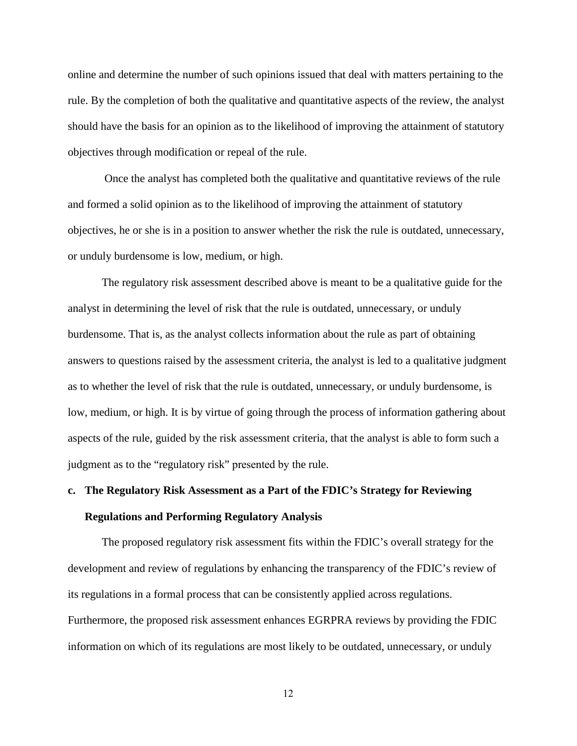online and determine the number of such opinions issued that deal with matters pertaining to the rule. By the completion of both the qualitative and quantitative aspects of the review, the analyst should have the basis for an opinion as to the likelihood of improving the attainment of statutory objectives through modification or repeal of the rule.

 Once the analyst has completed both the qualitative and quantitative reviews of the rule and formed a solid opinion as to the likelihood of improving the attainment of statutory objectives, he or she is in a position to answer whether the risk the rule is outdated, unnecessary, or unduly burdensome is low, medium, or high.

The regulatory risk assessment described above is meant to be a qualitative guide for the analyst in determining the level of risk that the rule is outdated, unnecessary, or unduly burdensome. That is, as the analyst collects information about the rule as part of obtaining answers to questions raised by the assessment criteria, the analyst is led to a qualitative judgment as to whether the level of risk that the rule is outdated, unnecessary, or unduly burdensome, is low, medium, or high. It is by virtue of going through the process of information gathering about aspects of the rule, guided by the risk assessment criteria, that the analyst is able to form such a judgment as to the "regulatory risk" presented by the rule.

# <span id="page-15-0"></span>**c. The Regulatory Risk Assessment as a Part of the FDIC's Strategy for Reviewing Regulations and Performing Regulatory Analysis**

The proposed regulatory risk assessment fits within the FDIC's overall strategy for the development and review of regulations by enhancing the transparency of the FDIC's review of its regulations in a formal process that can be consistently applied across regulations. Furthermore, the proposed risk assessment enhances EGRPRA reviews by providing the FDIC information on which of its regulations are most likely to be outdated, unnecessary, or unduly

12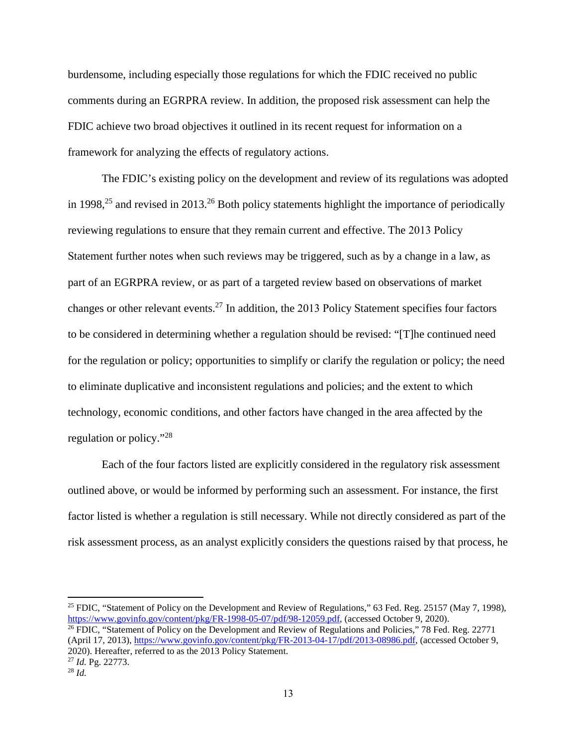burdensome, including especially those regulations for which the FDIC received no public comments during an EGRPRA review. In addition, the proposed risk assessment can help the FDIC achieve two broad objectives it outlined in its recent request for information on a framework for analyzing the effects of regulatory actions.

The FDIC's existing policy on the development and review of its regulations was adopted in 1998,<sup>[25](#page-16-0)</sup> and revised in 2013.<sup>[26](#page-16-1)</sup> Both policy statements highlight the importance of periodically reviewing regulations to ensure that they remain current and effective. The 2013 Policy Statement further notes when such reviews may be triggered, such as by a change in a law, as part of an EGRPRA review, or as part of a targeted review based on observations of market changes or other relevant events.[27](#page-16-2) In addition, the 2013 Policy Statement specifies four factors to be considered in determining whether a regulation should be revised: "[T]he continued need for the regulation or policy; opportunities to simplify or clarify the regulation or policy; the need to eliminate duplicative and inconsistent regulations and policies; and the extent to which technology, economic conditions, and other factors have changed in the area affected by the regulation or policy."[28](#page-16-3)

Each of the four factors listed are explicitly considered in the regulatory risk assessment outlined above, or would be informed by performing such an assessment. For instance, the first factor listed is whether a regulation is still necessary. While not directly considered as part of the risk assessment process, as an analyst explicitly considers the questions raised by that process, he

<span id="page-16-0"></span><sup>&</sup>lt;sup>25</sup> FDIC, "Statement of Policy on the Development and Review of Regulations," 63 Fed. Reg. 25157 (May 7, 1998), https://www.govinfo.gov/content/pkg/FR-1998-05-07/pdf/98-12059.pdf, (accessed October 9, 2020).

<span id="page-16-1"></span><sup>&</sup>lt;sup>26</sup> FDIC, "Statement of Policy on the Development and Review of Regulations and Policies," 78 Fed. Reg. 22771 (April 17, 2013), [https://www.govinfo.gov/content/pkg/FR-2013-04-17/pdf/2013-08986.pdf,](https://www.govinfo.gov/content/pkg/FR-2013-04-17/pdf/2013-08986.pdf) (accessed October 9, 2020). Hereafter, referred to as the 2013 Policy Statement. <sup>27</sup> *Id.* Pg. 22773.

<span id="page-16-3"></span><span id="page-16-2"></span><sup>28</sup> *Id.*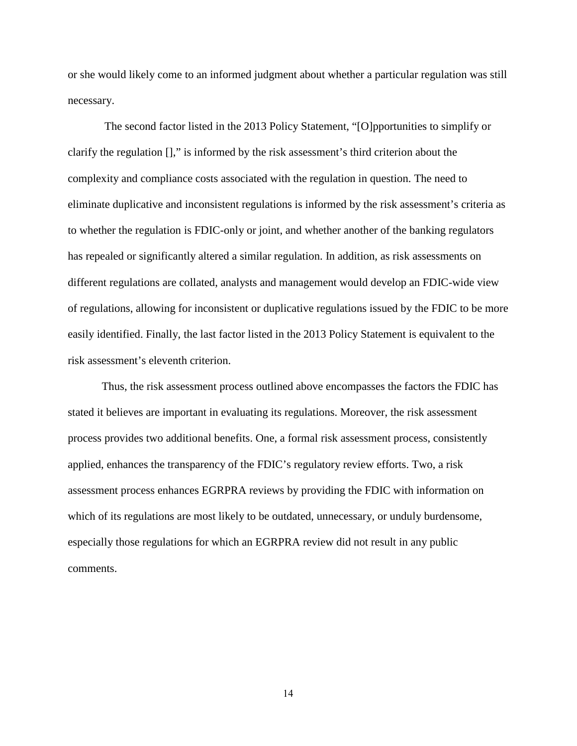or she would likely come to an informed judgment about whether a particular regulation was still necessary.

 The second factor listed in the 2013 Policy Statement, "[O]pportunities to simplify or clarify the regulation []," is informed by the risk assessment's third criterion about the complexity and compliance costs associated with the regulation in question. The need to eliminate duplicative and inconsistent regulations is informed by the risk assessment's criteria as to whether the regulation is FDIC-only or joint, and whether another of the banking regulators has repealed or significantly altered a similar regulation. In addition, as risk assessments on different regulations are collated, analysts and management would develop an FDIC-wide view of regulations, allowing for inconsistent or duplicative regulations issued by the FDIC to be more easily identified. Finally, the last factor listed in the 2013 Policy Statement is equivalent to the risk assessment's eleventh criterion.

Thus, the risk assessment process outlined above encompasses the factors the FDIC has stated it believes are important in evaluating its regulations. Moreover, the risk assessment process provides two additional benefits. One, a formal risk assessment process, consistently applied, enhances the transparency of the FDIC's regulatory review efforts. Two, a risk assessment process enhances EGRPRA reviews by providing the FDIC with information on which of its regulations are most likely to be outdated, unnecessary, or unduly burdensome, especially those regulations for which an EGRPRA review did not result in any public comments.

14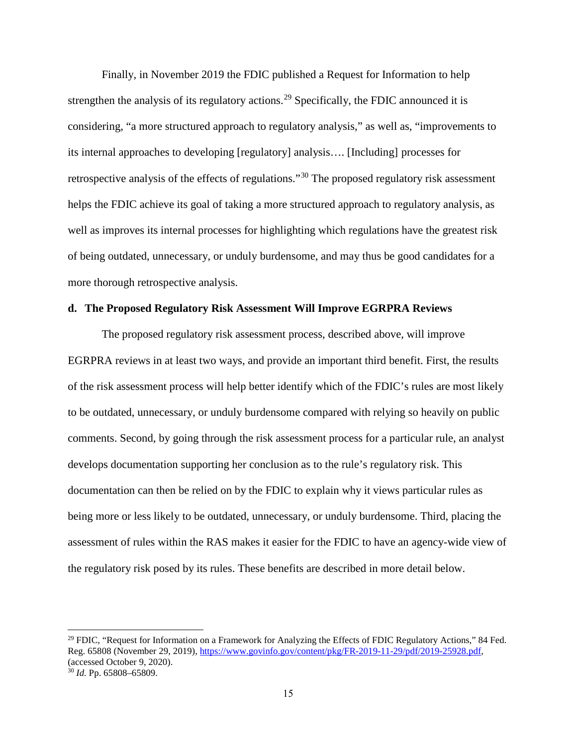Finally, in November 2019 the FDIC published a Request for Information to help strengthen the analysis of its regulatory actions.<sup>[29](#page-18-1)</sup> Specifically, the FDIC announced it is considering, "a more structured approach to regulatory analysis," as well as, "improvements to its internal approaches to developing [regulatory] analysis…. [Including] processes for retrospective analysis of the effects of regulations."[30](#page-18-2) The proposed regulatory risk assessment helps the FDIC achieve its goal of taking a more structured approach to regulatory analysis, as well as improves its internal processes for highlighting which regulations have the greatest risk of being outdated, unnecessary, or unduly burdensome, and may thus be good candidates for a more thorough retrospective analysis.

#### <span id="page-18-0"></span>**d. The Proposed Regulatory Risk Assessment Will Improve EGRPRA Reviews**

The proposed regulatory risk assessment process, described above, will improve EGRPRA reviews in at least two ways, and provide an important third benefit. First, the results of the risk assessment process will help better identify which of the FDIC's rules are most likely to be outdated, unnecessary, or unduly burdensome compared with relying so heavily on public comments. Second, by going through the risk assessment process for a particular rule, an analyst develops documentation supporting her conclusion as to the rule's regulatory risk. This documentation can then be relied on by the FDIC to explain why it views particular rules as being more or less likely to be outdated, unnecessary, or unduly burdensome. Third, placing the assessment of rules within the RAS makes it easier for the FDIC to have an agency-wide view of the regulatory risk posed by its rules. These benefits are described in more detail below.

<span id="page-18-2"></span><span id="page-18-1"></span><sup>&</sup>lt;sup>29</sup> FDIC, "Request for Information on a Framework for Analyzing the Effects of FDIC Regulatory Actions," 84 Fed. Reg. 65808 (November 29, 2019), [https://www.govinfo.gov/content/pkg/FR-2019-11-29/pdf/2019-25928.pdf,](https://www.govinfo.gov/content/pkg/FR-2019-11-29/pdf/2019-25928.pdf) (accessed October 9, 2020). <sup>30</sup> *Id.* Pp. 65808–65809.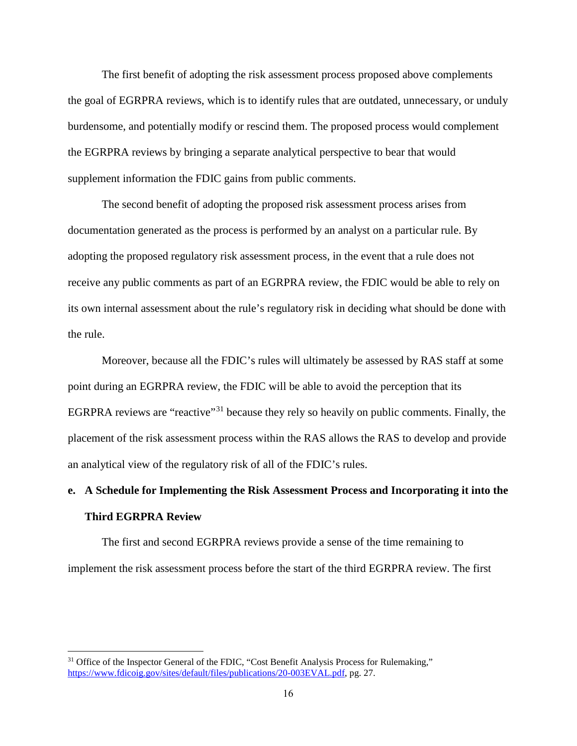The first benefit of adopting the risk assessment process proposed above complements the goal of EGRPRA reviews, which is to identify rules that are outdated, unnecessary, or unduly burdensome, and potentially modify or rescind them. The proposed process would complement the EGRPRA reviews by bringing a separate analytical perspective to bear that would supplement information the FDIC gains from public comments.

The second benefit of adopting the proposed risk assessment process arises from documentation generated as the process is performed by an analyst on a particular rule. By adopting the proposed regulatory risk assessment process, in the event that a rule does not receive any public comments as part of an EGRPRA review, the FDIC would be able to rely on its own internal assessment about the rule's regulatory risk in deciding what should be done with the rule.

Moreover, because all the FDIC's rules will ultimately be assessed by RAS staff at some point during an EGRPRA review, the FDIC will be able to avoid the perception that its EGRPRA reviews are "reactive"<sup>[31](#page-19-1)</sup> because they rely so heavily on public comments. Finally, the placement of the risk assessment process within the RAS allows the RAS to develop and provide an analytical view of the regulatory risk of all of the FDIC's rules.

# <span id="page-19-0"></span>**e. A Schedule for Implementing the Risk Assessment Process and Incorporating it into the Third EGRPRA Review**

The first and second EGRPRA reviews provide a sense of the time remaining to implement the risk assessment process before the start of the third EGRPRA review. The first

<span id="page-19-1"></span><sup>&</sup>lt;sup>31</sup> Office of the Inspector General of the FDIC, "Cost Benefit Analysis Process for Rulemaking," [https://www.fdicoig.gov/sites/default/files/publications/20-003EVAL.pdf,](https://www.fdicoig.gov/sites/default/files/publications/20-003EVAL.pdf) pg. 27.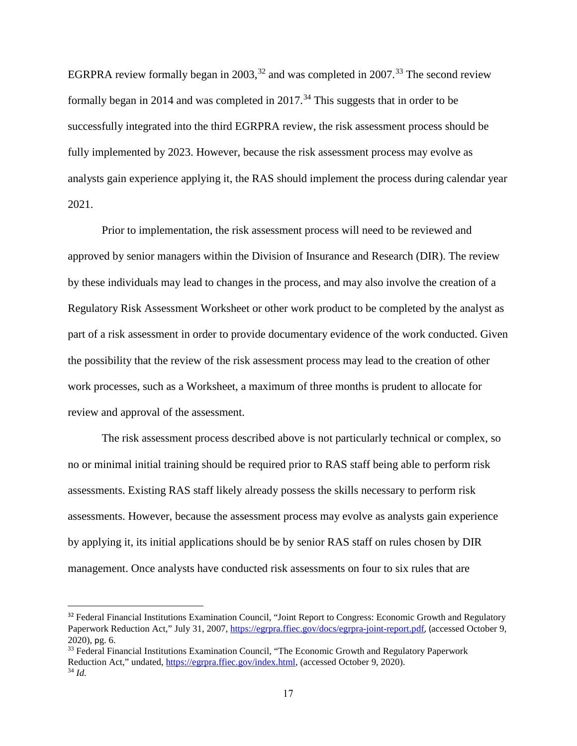EGRPRA review formally began in 2003,  $32$  and was completed in 2007.  $33$  The second review formally began in 2014 and was completed in  $2017<sup>34</sup>$  $2017<sup>34</sup>$  $2017<sup>34</sup>$  This suggests that in order to be successfully integrated into the third EGRPRA review, the risk assessment process should be fully implemented by 2023. However, because the risk assessment process may evolve as analysts gain experience applying it, the RAS should implement the process during calendar year 2021.

Prior to implementation, the risk assessment process will need to be reviewed and approved by senior managers within the Division of Insurance and Research (DIR). The review by these individuals may lead to changes in the process, and may also involve the creation of a Regulatory Risk Assessment Worksheet or other work product to be completed by the analyst as part of a risk assessment in order to provide documentary evidence of the work conducted. Given the possibility that the review of the risk assessment process may lead to the creation of other work processes, such as a Worksheet, a maximum of three months is prudent to allocate for review and approval of the assessment.

The risk assessment process described above is not particularly technical or complex, so no or minimal initial training should be required prior to RAS staff being able to perform risk assessments. Existing RAS staff likely already possess the skills necessary to perform risk assessments. However, because the assessment process may evolve as analysts gain experience by applying it, its initial applications should be by senior RAS staff on rules chosen by DIR management. Once analysts have conducted risk assessments on four to six rules that are

<span id="page-20-0"></span><sup>&</sup>lt;sup>32</sup> Federal Financial Institutions Examination Council, "Joint Report to Congress: Economic Growth and Regulatory Paperwork Reduction Act," July 31, 2007[, https://egrpra.ffiec.gov/docs/egrpra-joint-report.pdf](https://egrpra.ffiec.gov/docs/egrpra-joint-report.pdf), (accessed October 9, 2020), pg. 6.<br><sup>33</sup> Federal Financial Institutions Examination Council, "The Economic Growth and Regulatory Paperwork

<span id="page-20-2"></span><span id="page-20-1"></span>Reduction Act," undated, [https://egrpra.ffiec.gov/index.html,](https://egrpra.ffiec.gov/index.html) (accessed October 9, 2020). 34 *Id.*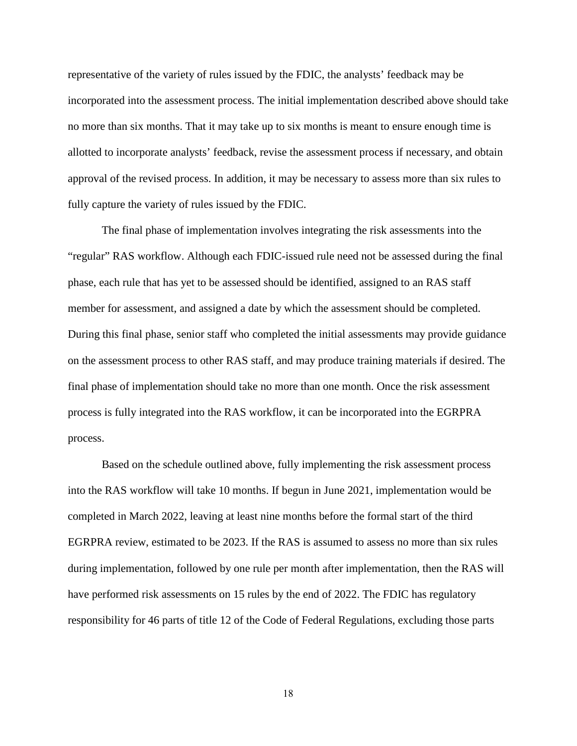representative of the variety of rules issued by the FDIC, the analysts' feedback may be incorporated into the assessment process. The initial implementation described above should take no more than six months. That it may take up to six months is meant to ensure enough time is allotted to incorporate analysts' feedback, revise the assessment process if necessary, and obtain approval of the revised process. In addition, it may be necessary to assess more than six rules to fully capture the variety of rules issued by the FDIC.

The final phase of implementation involves integrating the risk assessments into the "regular" RAS workflow. Although each FDIC-issued rule need not be assessed during the final phase, each rule that has yet to be assessed should be identified, assigned to an RAS staff member for assessment, and assigned a date by which the assessment should be completed. During this final phase, senior staff who completed the initial assessments may provide guidance on the assessment process to other RAS staff, and may produce training materials if desired. The final phase of implementation should take no more than one month. Once the risk assessment process is fully integrated into the RAS workflow, it can be incorporated into the EGRPRA process.

Based on the schedule outlined above, fully implementing the risk assessment process into the RAS workflow will take 10 months. If begun in June 2021, implementation would be completed in March 2022, leaving at least nine months before the formal start of the third EGRPRA review, estimated to be 2023. If the RAS is assumed to assess no more than six rules during implementation, followed by one rule per month after implementation, then the RAS will have performed risk assessments on 15 rules by the end of 2022. The FDIC has regulatory responsibility for 46 parts of title 12 of the Code of Federal Regulations, excluding those parts

18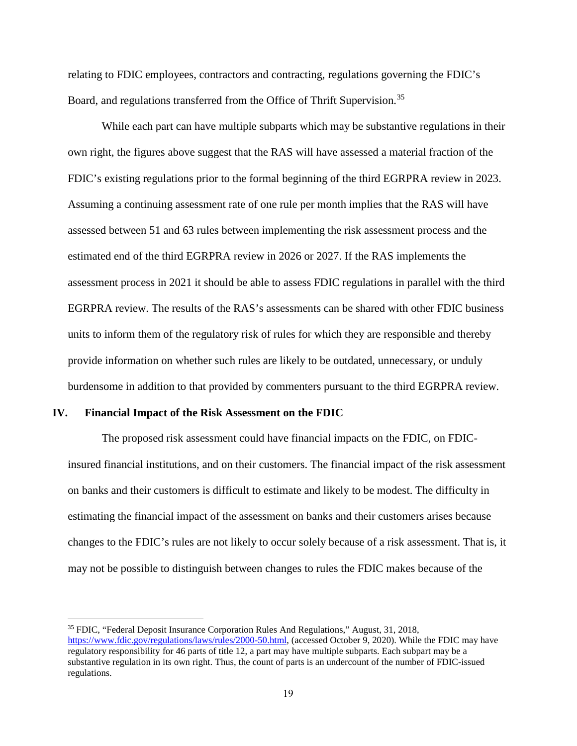relating to FDIC employees, contractors and contracting, regulations governing the FDIC's Board, and regulations transferred from the Office of Thrift Supervision.<sup>35</sup>

While each part can have multiple subparts which may be substantive regulations in their own right, the figures above suggest that the RAS will have assessed a material fraction of the FDIC's existing regulations prior to the formal beginning of the third EGRPRA review in 2023. Assuming a continuing assessment rate of one rule per month implies that the RAS will have assessed between 51 and 63 rules between implementing the risk assessment process and the estimated end of the third EGRPRA review in 2026 or 2027. If the RAS implements the assessment process in 2021 it should be able to assess FDIC regulations in parallel with the third EGRPRA review. The results of the RAS's assessments can be shared with other FDIC business units to inform them of the regulatory risk of rules for which they are responsible and thereby provide information on whether such rules are likely to be outdated, unnecessary, or unduly burdensome in addition to that provided by commenters pursuant to the third EGRPRA review.

#### <span id="page-22-0"></span>**IV. Financial Impact of the Risk Assessment on the FDIC**

The proposed risk assessment could have financial impacts on the FDIC, on FDICinsured financial institutions, and on their customers. The financial impact of the risk assessment on banks and their customers is difficult to estimate and likely to be modest. The difficulty in estimating the financial impact of the assessment on banks and their customers arises because changes to the FDIC's rules are not likely to occur solely because of a risk assessment. That is, it may not be possible to distinguish between changes to rules the FDIC makes because of the

<span id="page-22-1"></span><sup>35</sup> FDIC, "Federal Deposit Insurance Corporation Rules And Regulations," August, 31, 2018, [https://www.fdic.gov/regulations/laws/rules/2000-50.html,](https://www.fdic.gov/regulations/laws/rules/2000-50.html) (accessed October 9, 2020). While the FDIC may have regulatory responsibility for 46 parts of title 12, a part may have multiple subparts. Each subpart may be a substantive regulation in its own right. Thus, the count of parts is an undercount of the number of FDIC-issued regulations.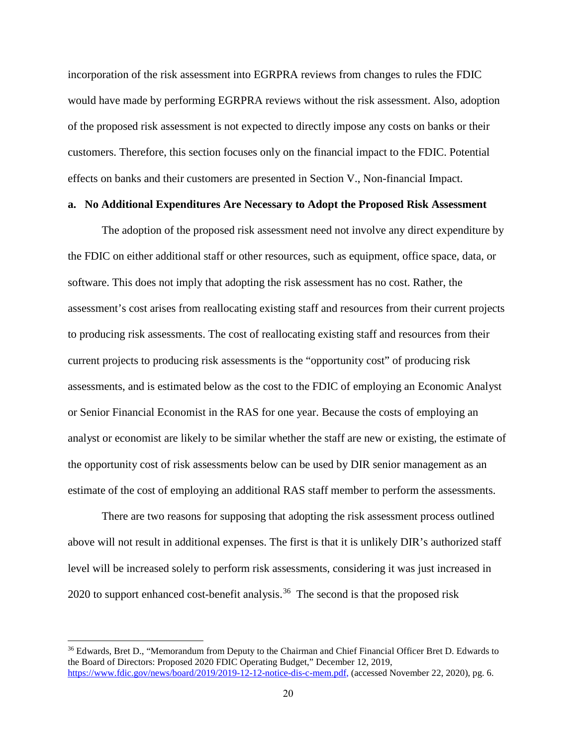incorporation of the risk assessment into EGRPRA reviews from changes to rules the FDIC would have made by performing EGRPRA reviews without the risk assessment. Also, adoption of the proposed risk assessment is not expected to directly impose any costs on banks or their customers. Therefore, this section focuses only on the financial impact to the FDIC. Potential effects on banks and their customers are presented in Section V., Non-financial Impact.

#### <span id="page-23-0"></span>**a. No Additional Expenditures Are Necessary to Adopt the Proposed Risk Assessment**

The adoption of the proposed risk assessment need not involve any direct expenditure by the FDIC on either additional staff or other resources, such as equipment, office space, data, or software. This does not imply that adopting the risk assessment has no cost. Rather, the assessment's cost arises from reallocating existing staff and resources from their current projects to producing risk assessments. The cost of reallocating existing staff and resources from their current projects to producing risk assessments is the "opportunity cost" of producing risk assessments, and is estimated below as the cost to the FDIC of employing an Economic Analyst or Senior Financial Economist in the RAS for one year. Because the costs of employing an analyst or economist are likely to be similar whether the staff are new or existing, the estimate of the opportunity cost of risk assessments below can be used by DIR senior management as an estimate of the cost of employing an additional RAS staff member to perform the assessments.

There are two reasons for supposing that adopting the risk assessment process outlined above will not result in additional expenses. The first is that it is unlikely DIR's authorized staff level will be increased solely to perform risk assessments, considering it was just increased in 2020 to support enhanced cost-benefit analysis.<sup>36</sup> The second is that the proposed risk

<span id="page-23-1"></span><sup>&</sup>lt;sup>36</sup> Edwards, Bret D., "Memorandum from Deputy to the Chairman and Chief Financial Officer Bret D. Edwards to the Board of Directors: Proposed 2020 FDIC Operating Budget," December 12, 2019, [https://www.fdic.gov/news/board/2019/2019-12-12-notice-dis-c-mem.pdf,](https://www.fdic.gov/news/board/2019/2019-12-12-notice-dis-c-mem.pdf) (accessed November 22, 2020), pg. 6.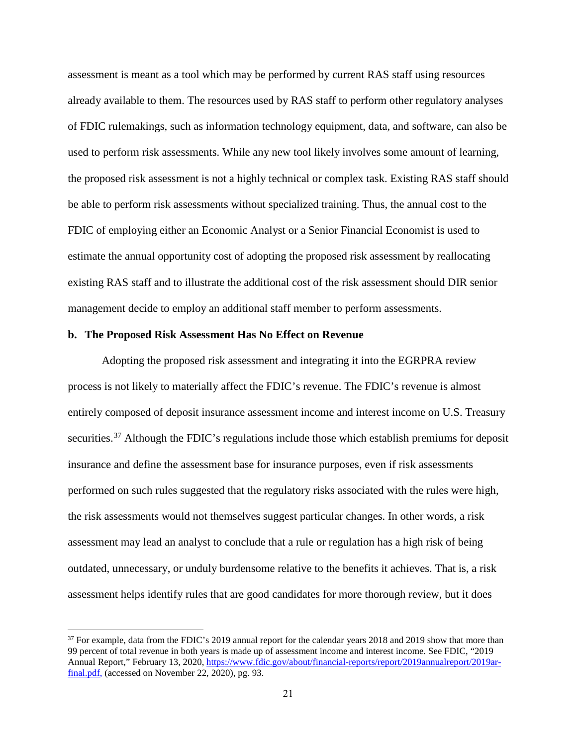assessment is meant as a tool which may be performed by current RAS staff using resources already available to them. The resources used by RAS staff to perform other regulatory analyses of FDIC rulemakings, such as information technology equipment, data, and software, can also be used to perform risk assessments. While any new tool likely involves some amount of learning, the proposed risk assessment is not a highly technical or complex task. Existing RAS staff should be able to perform risk assessments without specialized training. Thus, the annual cost to the FDIC of employing either an Economic Analyst or a Senior Financial Economist is used to estimate the annual opportunity cost of adopting the proposed risk assessment by reallocating existing RAS staff and to illustrate the additional cost of the risk assessment should DIR senior management decide to employ an additional staff member to perform assessments.

#### <span id="page-24-0"></span>**b. The Proposed Risk Assessment Has No Effect on Revenue**

Adopting the proposed risk assessment and integrating it into the EGRPRA review process is not likely to materially affect the FDIC's revenue. The FDIC's revenue is almost entirely composed of deposit insurance assessment income and interest income on U.S. Treasury securities.<sup>[37](#page-24-1)</sup> Although the FDIC's regulations include those which establish premiums for deposit insurance and define the assessment base for insurance purposes, even if risk assessments performed on such rules suggested that the regulatory risks associated with the rules were high, the risk assessments would not themselves suggest particular changes. In other words, a risk assessment may lead an analyst to conclude that a rule or regulation has a high risk of being outdated, unnecessary, or unduly burdensome relative to the benefits it achieves. That is, a risk assessment helps identify rules that are good candidates for more thorough review, but it does

<span id="page-24-1"></span><sup>&</sup>lt;sup>37</sup> For example, data from the FDIC's 2019 annual report for the calendar years 2018 and 2019 show that more than 99 percent of total revenue in both years is made up of assessment income and interest income. See FDIC, "2019 Annual Report," February 13, 2020, [https://www.fdic.gov/about/financial-reports/report/2019annualreport/2019ar](https://www.fdic.gov/about/financial-reports/report/2019annualreport/2019ar-final.pdf)[final.pdf,](https://www.fdic.gov/about/financial-reports/report/2019annualreport/2019ar-final.pdf) (accessed on November 22, 2020), pg. 93.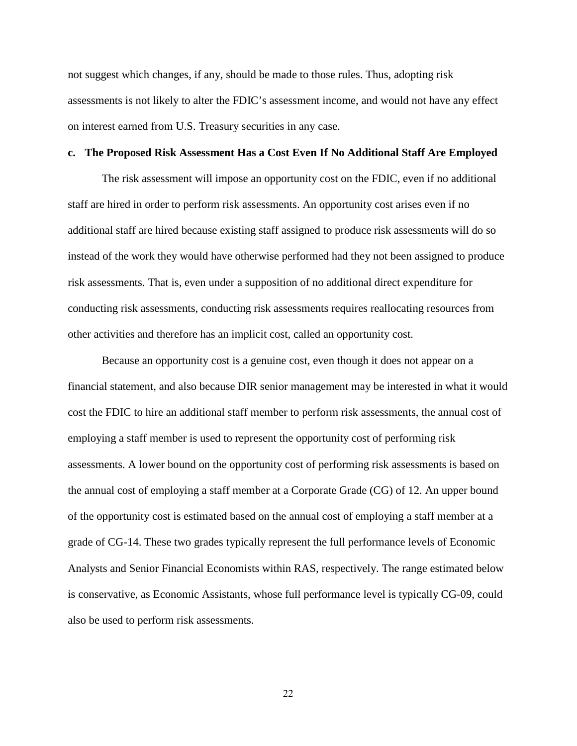not suggest which changes, if any, should be made to those rules. Thus, adopting risk assessments is not likely to alter the FDIC's assessment income, and would not have any effect on interest earned from U.S. Treasury securities in any case.

#### <span id="page-25-0"></span>**c. The Proposed Risk Assessment Has a Cost Even If No Additional Staff Are Employed**

The risk assessment will impose an opportunity cost on the FDIC, even if no additional staff are hired in order to perform risk assessments. An opportunity cost arises even if no additional staff are hired because existing staff assigned to produce risk assessments will do so instead of the work they would have otherwise performed had they not been assigned to produce risk assessments. That is, even under a supposition of no additional direct expenditure for conducting risk assessments, conducting risk assessments requires reallocating resources from other activities and therefore has an implicit cost, called an opportunity cost.

Because an opportunity cost is a genuine cost, even though it does not appear on a financial statement, and also because DIR senior management may be interested in what it would cost the FDIC to hire an additional staff member to perform risk assessments, the annual cost of employing a staff member is used to represent the opportunity cost of performing risk assessments. A lower bound on the opportunity cost of performing risk assessments is based on the annual cost of employing a staff member at a Corporate Grade (CG) of 12. An upper bound of the opportunity cost is estimated based on the annual cost of employing a staff member at a grade of CG-14. These two grades typically represent the full performance levels of Economic Analysts and Senior Financial Economists within RAS, respectively. The range estimated below is conservative, as Economic Assistants, whose full performance level is typically CG-09, could also be used to perform risk assessments.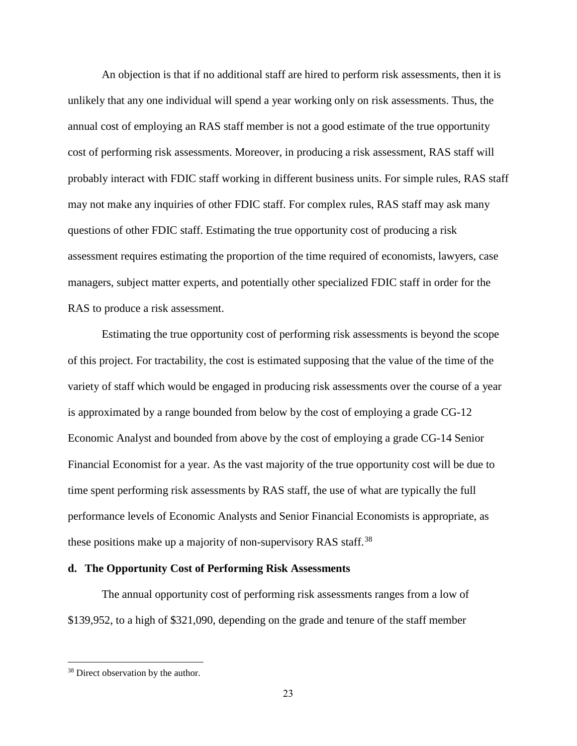An objection is that if no additional staff are hired to perform risk assessments, then it is unlikely that any one individual will spend a year working only on risk assessments. Thus, the annual cost of employing an RAS staff member is not a good estimate of the true opportunity cost of performing risk assessments. Moreover, in producing a risk assessment, RAS staff will probably interact with FDIC staff working in different business units. For simple rules, RAS staff may not make any inquiries of other FDIC staff. For complex rules, RAS staff may ask many questions of other FDIC staff. Estimating the true opportunity cost of producing a risk assessment requires estimating the proportion of the time required of economists, lawyers, case managers, subject matter experts, and potentially other specialized FDIC staff in order for the RAS to produce a risk assessment.

Estimating the true opportunity cost of performing risk assessments is beyond the scope of this project. For tractability, the cost is estimated supposing that the value of the time of the variety of staff which would be engaged in producing risk assessments over the course of a year is approximated by a range bounded from below by the cost of employing a grade CG-12 Economic Analyst and bounded from above by the cost of employing a grade CG-14 Senior Financial Economist for a year. As the vast majority of the true opportunity cost will be due to time spent performing risk assessments by RAS staff, the use of what are typically the full performance levels of Economic Analysts and Senior Financial Economists is appropriate, as these positions make up a majority of non-supervisory RAS staff.<sup>[38](#page-26-1)</sup>

#### <span id="page-26-0"></span>**d. The Opportunity Cost of Performing Risk Assessments**

The annual opportunity cost of performing risk assessments ranges from a low of \$139,952, to a high of \$321,090, depending on the grade and tenure of the staff member

<span id="page-26-1"></span><sup>&</sup>lt;sup>38</sup> Direct observation by the author.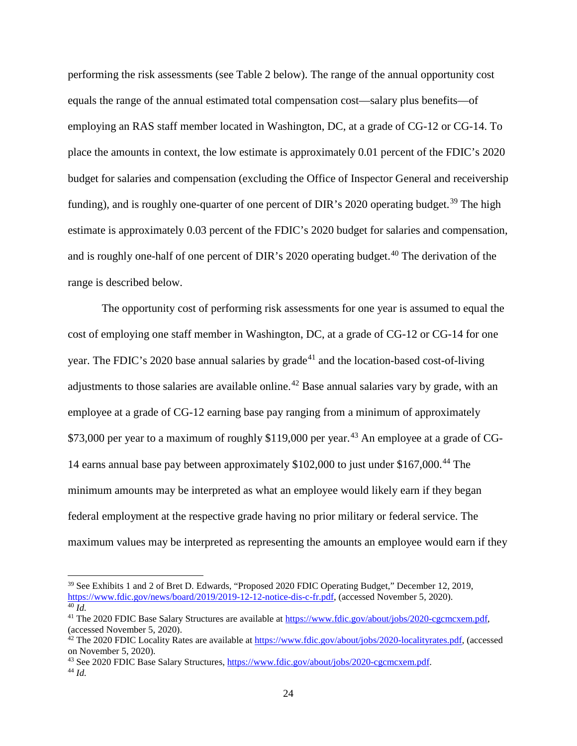performing the risk assessments (see Table 2 below). The range of the annual opportunity cost equals the range of the annual estimated total compensation cost—salary plus benefits—of employing an RAS staff member located in Washington, DC, at a grade of CG-12 or CG-14. To place the amounts in context, the low estimate is approximately 0.01 percent of the FDIC's 2020 budget for salaries and compensation (excluding the Office of Inspector General and receivership funding), and is roughly one-quarter of one percent of DIR's 2020 operating budget.<sup>[39](#page-27-0)</sup> The high estimate is approximately 0.03 percent of the FDIC's 2020 budget for salaries and compensation, and is roughly one-half of one percent of DIR's 2020 operating budget.<sup>[40](#page-27-1)</sup> The derivation of the range is described below.

The opportunity cost of performing risk assessments for one year is assumed to equal the cost of employing one staff member in Washington, DC, at a grade of CG-12 or CG-14 for one year. The FDIC's 2020 base annual salaries by grade<sup>[41](#page-27-2)</sup> and the location-based cost-of-living adjustments to those salaries are available online.<sup>[42](#page-27-3)</sup> Base annual salaries vary by grade, with an employee at a grade of CG-12 earning base pay ranging from a minimum of approximately \$73,000 per year to a maximum of roughly \$119,000 per year.<sup>[43](#page-27-4)</sup> An employee at a grade of CG-14 earns annual base pay between approximately \$102,000 to just under \$167,000.[44](#page-27-5) The minimum amounts may be interpreted as what an employee would likely earn if they began federal employment at the respective grade having no prior military or federal service. The maximum values may be interpreted as representing the amounts an employee would earn if they

l

<span id="page-27-0"></span><sup>&</sup>lt;sup>39</sup> See Exhibits 1 and 2 of Bret D. Edwards, "Proposed 2020 FDIC Operating Budget," December 12, 2019, https://www.fdic.gov/news/board/2019/2019-12-12-notice-dis-c-fr.pdf, (accessed November 5, 2020).

<span id="page-27-2"></span><span id="page-27-1"></span><sup>&</sup>lt;sup>41</sup> The 2020 FDIC Base Salary Structures are available at [https://www.fdic.gov/about/jobs/2020-cgcmcxem.pdf,](https://www.fdic.gov/about/jobs/2020-cgcmcxem.pdf) (accessed November 5, 2020).

<span id="page-27-3"></span><sup>&</sup>lt;sup>42</sup> The 2020 FDIC Locality Rates are available at  $\frac{https://www.fdic.gov/about/jobs/2020-localityrates.pdf}{https://www.fdic.gov/about/jobs/2020-localityrates.pdf}$ , (accessed on November 5, 2020).

<span id="page-27-5"></span><span id="page-27-4"></span><sup>&</sup>lt;sup>43</sup> See 2020 FDIC Base Salary Structures, [https://www.fdic.gov/about/jobs/2020-cgcmcxem.pdf.](https://www.fdic.gov/about/jobs/2020-cgcmcxem.pdf) <sup>44</sup> *Id.*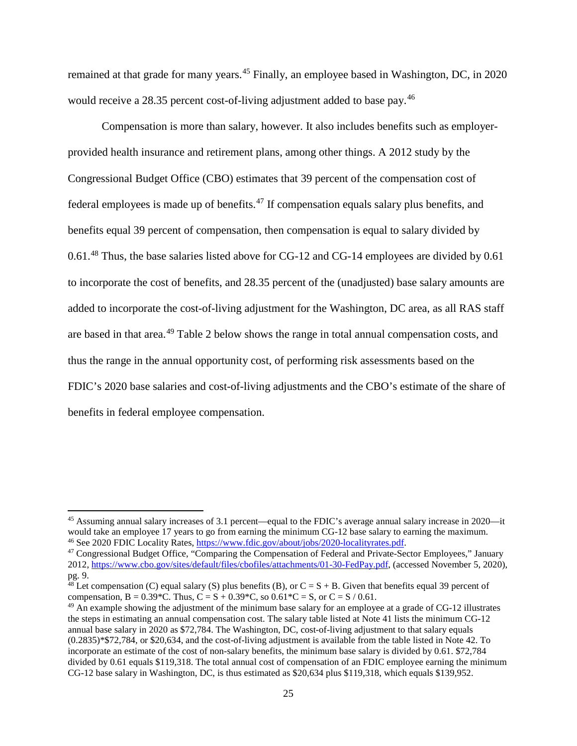remained at that grade for many years.<sup>[45](#page-28-0)</sup> Finally, an employee based in Washington, DC, in 2020 would receive a 28.35 percent cost-of-living adjustment added to base pay.<sup>[46](#page-28-1)</sup>

Compensation is more than salary, however. It also includes benefits such as employerprovided health insurance and retirement plans, among other things. A 2012 study by the Congressional Budget Office (CBO) estimates that 39 percent of the compensation cost of federal employees is made up of benefits. $47$  If compensation equals salary plus benefits, and benefits equal 39 percent of compensation, then compensation is equal to salary divided by 0.61.<sup>[48](#page-28-3)</sup> Thus, the base salaries listed above for CG-12 and CG-14 employees are divided by 0.61 to incorporate the cost of benefits, and 28.35 percent of the (unadjusted) base salary amounts are added to incorporate the cost-of-living adjustment for the Washington, DC area, as all RAS staff are based in that area.[49](#page-28-4) Table 2 below shows the range in total annual compensation costs, and thus the range in the annual opportunity cost, of performing risk assessments based on the FDIC's 2020 base salaries and cost-of-living adjustments and the CBO's estimate of the share of benefits in federal employee compensation.

l

<span id="page-28-0"></span><sup>&</sup>lt;sup>45</sup> Assuming annual salary increases of 3.1 percent—equal to the FDIC's average annual salary increase in 2020—it would take an employee 17 years to go from earning the minimum CG-12 base salary to earning the maximum.<br><sup>46</sup> See 2020 FDIC Locality Rates, [https://www.fdic.gov/about/jobs/2020-localityrates.pdf.](https://www.fdic.gov/about/jobs/2020-localityrates.pdf)

<span id="page-28-2"></span><span id="page-28-1"></span><sup>&</sup>lt;sup>47</sup> Congressional Budget Office, "Comparing the Compensation of Federal and Private-Sector Employees," January 2012, [https://www.cbo.gov/sites/default/files/cbofiles/attachments/01-30-FedPay.pdf,](https://www.cbo.gov/sites/default/files/cbofiles/attachments/01-30-FedPay.pdf) (accessed November 5, 2020), pg. 9.

<span id="page-28-3"></span> $^{48}$  Let compensation (C) equal salary (S) plus benefits (B), or C = S + B. Given that benefits equal 39 percent of compensation, B =  $0.39$  \*C. Thus, C = S +  $0.39$  \*C, so  $0.61$  \*C = S, or C = S / 0.61.

<span id="page-28-4"></span> $^{49}$  An example showing the adjustment of the minimum base salary for an employee at a grade of CG-12 illustrates the steps in estimating an annual compensation cost. The salary table listed at Note 41 lists the minimum CG-12 annual base salary in 2020 as \$72,784. The Washington, DC, cost-of-living adjustment to that salary equals (0.2835)\*\$72,784, or \$20,634, and the cost-of-living adjustment is available from the table listed in Note 42. To incorporate an estimate of the cost of non-salary benefits, the minimum base salary is divided by 0.61. \$72,784 divided by 0.61 equals \$119,318. The total annual cost of compensation of an FDIC employee earning the minimum CG-12 base salary in Washington, DC, is thus estimated as \$20,634 plus \$119,318, which equals \$139,952.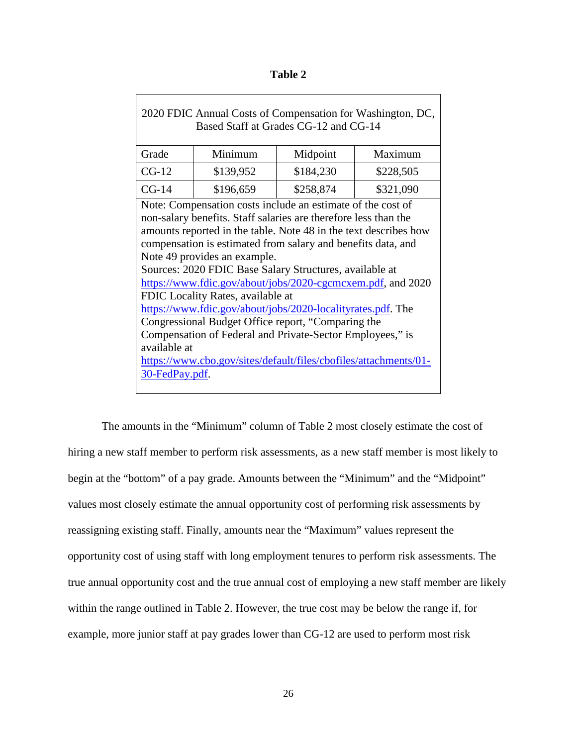| able |  |
|------|--|
|------|--|

| 2020 FDIC Annual Costs of Compensation for Washington, DC,<br>Based Staff at Grades CG-12 and CG-14                                                                                                                                                                                                                                                                                                                                                                                                                                                                                                                                                                                                                                                       |           |           |           |  |  |  |
|-----------------------------------------------------------------------------------------------------------------------------------------------------------------------------------------------------------------------------------------------------------------------------------------------------------------------------------------------------------------------------------------------------------------------------------------------------------------------------------------------------------------------------------------------------------------------------------------------------------------------------------------------------------------------------------------------------------------------------------------------------------|-----------|-----------|-----------|--|--|--|
| Grade                                                                                                                                                                                                                                                                                                                                                                                                                                                                                                                                                                                                                                                                                                                                                     | Minimum   | Midpoint  | Maximum   |  |  |  |
| $CG-12$                                                                                                                                                                                                                                                                                                                                                                                                                                                                                                                                                                                                                                                                                                                                                   | \$139,952 | \$184,230 | \$228,505 |  |  |  |
| $CG-14$                                                                                                                                                                                                                                                                                                                                                                                                                                                                                                                                                                                                                                                                                                                                                   | \$196,659 | \$258,874 | \$321,090 |  |  |  |
| Note: Compensation costs include an estimate of the cost of<br>non-salary benefits. Staff salaries are therefore less than the<br>amounts reported in the table. Note 48 in the text describes how<br>compensation is estimated from salary and benefits data, and<br>Note 49 provides an example.<br>Sources: 2020 FDIC Base Salary Structures, available at<br>https://www.fdic.gov/about/jobs/2020-cgcmcxem.pdf, and 2020<br>FDIC Locality Rates, available at<br>https://www.fdic.gov/about/jobs/2020-localityrates.pdf. The<br>Congressional Budget Office report, "Comparing the<br>Compensation of Federal and Private-Sector Employees," is<br>available at<br>https://www.cbo.gov/sites/default/files/cbofiles/attachments/01-<br>30-FedPay.pdf. |           |           |           |  |  |  |

The amounts in the "Minimum" column of Table 2 most closely estimate the cost of hiring a new staff member to perform risk assessments, as a new staff member is most likely to begin at the "bottom" of a pay grade. Amounts between the "Minimum" and the "Midpoint" values most closely estimate the annual opportunity cost of performing risk assessments by reassigning existing staff. Finally, amounts near the "Maximum" values represent the opportunity cost of using staff with long employment tenures to perform risk assessments. The true annual opportunity cost and the true annual cost of employing a new staff member are likely within the range outlined in Table 2. However, the true cost may be below the range if, for example, more junior staff at pay grades lower than CG-12 are used to perform most risk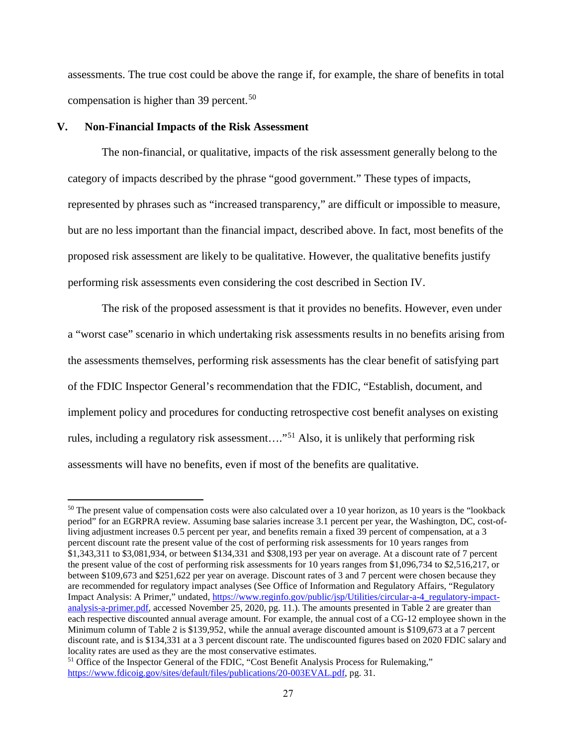assessments. The true cost could be above the range if, for example, the share of benefits in total compensation is higher than 39 percent.<sup>[50](#page-30-1)</sup>

#### <span id="page-30-0"></span>**V. Non-Financial Impacts of the Risk Assessment**

The non-financial, or qualitative, impacts of the risk assessment generally belong to the category of impacts described by the phrase "good government." These types of impacts, represented by phrases such as "increased transparency," are difficult or impossible to measure, but are no less important than the financial impact, described above. In fact, most benefits of the proposed risk assessment are likely to be qualitative. However, the qualitative benefits justify performing risk assessments even considering the cost described in Section IV.

The risk of the proposed assessment is that it provides no benefits. However, even under a "worst case" scenario in which undertaking risk assessments results in no benefits arising from the assessments themselves, performing risk assessments has the clear benefit of satisfying part of the FDIC Inspector General's recommendation that the FDIC, "Establish, document, and implement policy and procedures for conducting retrospective cost benefit analyses on existing rules, including a regulatory risk assessment…."[51](#page-30-2) Also, it is unlikely that performing risk assessments will have no benefits, even if most of the benefits are qualitative.

<span id="page-30-1"></span><sup>&</sup>lt;sup>50</sup> The present value of compensation costs were also calculated over a 10 year horizon, as 10 years is the "lookback period" for an EGRPRA review. Assuming base salaries increase 3.1 percent per year, the Washington, DC, cost-ofliving adjustment increases 0.5 percent per year, and benefits remain a fixed 39 percent of compensation, at a 3 percent discount rate the present value of the cost of performing risk assessments for 10 years ranges from \$1,343,311 to \$3,081,934, or between \$134,331 and \$308,193 per year on average. At a discount rate of 7 percent the present value of the cost of performing risk assessments for 10 years ranges from \$1,096,734 to \$2,516,217, or between \$109,673 and \$251,622 per year on average. Discount rates of 3 and 7 percent were chosen because they are recommended for regulatory impact analyses (See Office of Information and Regulatory Affairs, "Regulatory Impact Analysis: A Primer," undated, [https://www.reginfo.gov/public/jsp/Utilities/circular-a-4\\_regulatory-impact](https://www.reginfo.gov/public/jsp/Utilities/circular-a-4_regulatory-impact-analysis-a-primer.pdf)[analysis-a-primer.pdf,](https://www.reginfo.gov/public/jsp/Utilities/circular-a-4_regulatory-impact-analysis-a-primer.pdf) accessed November 25, 2020, pg. 11.). The amounts presented in Table 2 are greater than each respective discounted annual average amount. For example, the annual cost of a CG-12 employee shown in the Minimum column of Table 2 is \$139,952, while the annual average discounted amount is \$109,673 at a 7 percent discount rate, and is \$134,331 at a 3 percent discount rate. The undiscounted figures based on 2020 FDIC salary and locality rates are used as they are the most conservative estimates.

<span id="page-30-2"></span><sup>&</sup>lt;sup>51</sup> Office of the Inspector General of the FDIC, "Cost Benefit Analysis Process for Rulemaking," [https://www.fdicoig.gov/sites/default/files/publications/20-003EVAL.pdf,](https://www.fdicoig.gov/sites/default/files/publications/20-003EVAL.pdf) pg. 31.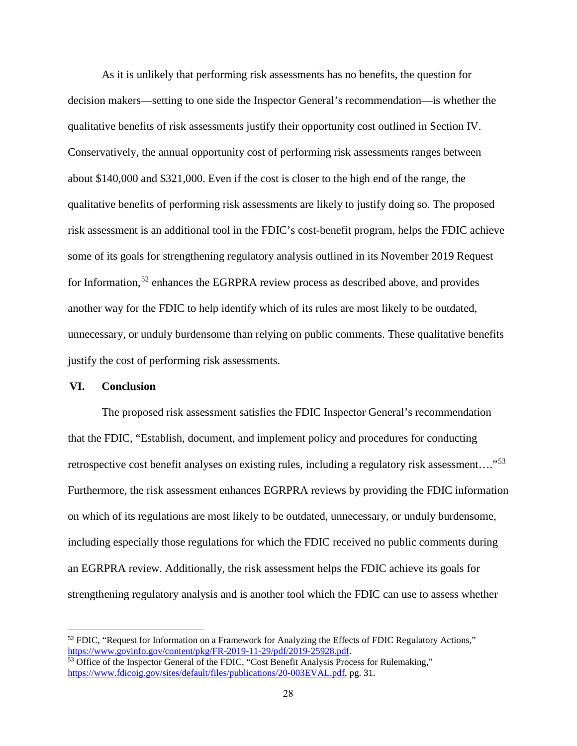As it is unlikely that performing risk assessments has no benefits, the question for decision makers—setting to one side the Inspector General's recommendation—is whether the qualitative benefits of risk assessments justify their opportunity cost outlined in Section IV. Conservatively, the annual opportunity cost of performing risk assessments ranges between about \$140,000 and \$321,000. Even if the cost is closer to the high end of the range, the qualitative benefits of performing risk assessments are likely to justify doing so. The proposed risk assessment is an additional tool in the FDIC's cost-benefit program, helps the FDIC achieve some of its goals for strengthening regulatory analysis outlined in its November 2019 Request for Information,<sup>[52](#page-31-1)</sup> enhances the EGRPRA review process as described above, and provides another way for the FDIC to help identify which of its rules are most likely to be outdated, unnecessary, or unduly burdensome than relying on public comments. These qualitative benefits justify the cost of performing risk assessments.

#### <span id="page-31-0"></span>**VI. Conclusion**

The proposed risk assessment satisfies the FDIC Inspector General's recommendation that the FDIC, "Establish, document, and implement policy and procedures for conducting retrospective cost benefit analyses on existing rules, including a regulatory risk assessment…."[53](#page-31-2) Furthermore, the risk assessment enhances EGRPRA reviews by providing the FDIC information on which of its regulations are most likely to be outdated, unnecessary, or unduly burdensome, including especially those regulations for which the FDIC received no public comments during an EGRPRA review. Additionally, the risk assessment helps the FDIC achieve its goals for strengthening regulatory analysis and is another tool which the FDIC can use to assess whether

<span id="page-31-1"></span><sup>&</sup>lt;sup>52</sup> FDIC, "Request for Information on a Framework for Analyzing the Effects of FDIC Regulatory Actions,"<br>https://www.govinfo.gov/content/pkg/FR-2019-11-29/pdf/2019-25928.pdf.

<span id="page-31-2"></span> $\frac{1}{53}$  Office of the Inspector General of the FDIC, "Cost Benefit Analysis Process for Rulemaking," [https://www.fdicoig.gov/sites/default/files/publications/20-003EVAL.pdf,](https://www.fdicoig.gov/sites/default/files/publications/20-003EVAL.pdf) pg. 31.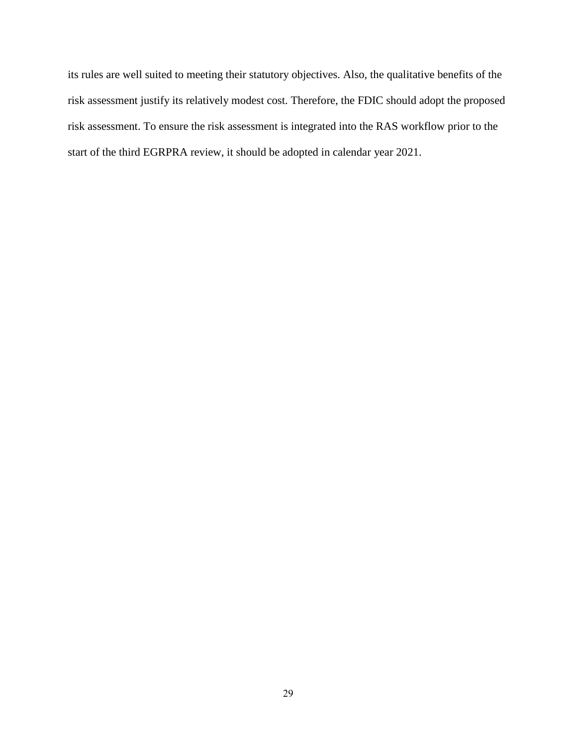its rules are well suited to meeting their statutory objectives. Also, the qualitative benefits of the risk assessment justify its relatively modest cost. Therefore, the FDIC should adopt the proposed risk assessment. To ensure the risk assessment is integrated into the RAS workflow prior to the start of the third EGRPRA review, it should be adopted in calendar year 2021.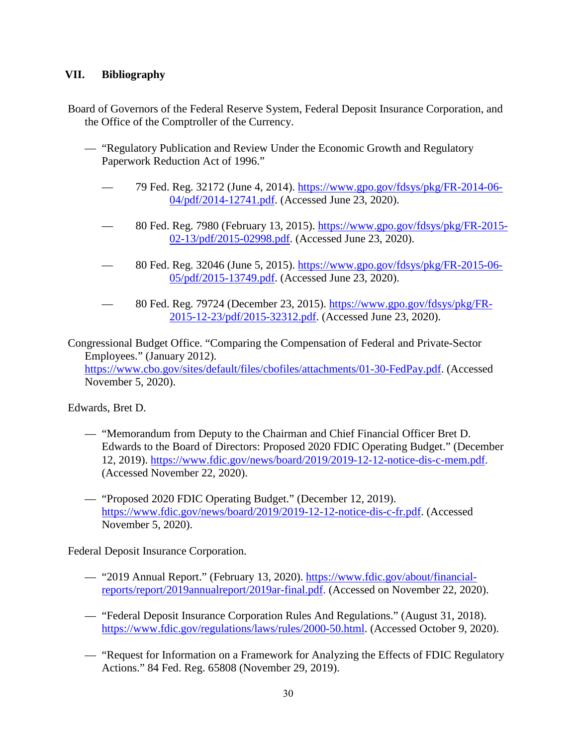## <span id="page-33-0"></span>**VII. Bibliography**

Board of Governors of the Federal Reserve System, Federal Deposit Insurance Corporation, and the Office of the Comptroller of the Currency.

- "Regulatory Publication and Review Under the Economic Growth and Regulatory Paperwork Reduction Act of 1996."
	- 79 Fed. Reg. 32172 (June 4, 2014). [https://www.gpo.gov/fdsys/pkg/FR-2014-06-](https://www.gpo.gov/fdsys/pkg/FR-2014-06-04/pdf/2014-12741.pdf)  [04/pdf/2014-12741.pdf.](https://www.gpo.gov/fdsys/pkg/FR-2014-06-04/pdf/2014-12741.pdf) (Accessed June 23, 2020).
	- 80 Fed. Reg. 7980 (February 13, 2015). [https://www.gpo.gov/fdsys/pkg/FR-2015-](https://www.gpo.gov/fdsys/pkg/FR-2015-02-13/pdf/2015-02998.pdf) [02-13/pdf/2015-02998.pdf.](https://www.gpo.gov/fdsys/pkg/FR-2015-02-13/pdf/2015-02998.pdf) (Accessed June 23, 2020).
	- 80 Fed. Reg. 32046 (June 5, 2015). [https://www.gpo.gov/fdsys/pkg/FR-2015-06-](https://www.gpo.gov/fdsys/pkg/FR-2015-06-05/pdf/2015-13749.pdf) [05/pdf/2015-13749.pdf.](https://www.gpo.gov/fdsys/pkg/FR-2015-06-05/pdf/2015-13749.pdf) (Accessed June 23, 2020).
	- 80 Fed. Reg. 79724 (December 23, 2015). [https://www.gpo.gov/fdsys/pkg/FR-](https://www.gpo.gov/fdsys/pkg/FR-2015-12-23/pdf/2015-32312.pdf.)[2015-12-23/pdf/2015-32312.pdf.](https://www.gpo.gov/fdsys/pkg/FR-2015-12-23/pdf/2015-32312.pdf.) (Accessed June 23, 2020).

Congressional Budget Office. "Comparing the Compensation of Federal and Private-Sector Employees." (January 2012). [https://www.cbo.gov/sites/default/files/cbofiles/attachments/01-30-FedPay.pdf.](https://www.cbo.gov/sites/default/files/cbofiles/attachments/01-30-FedPay.pdf) (Accessed November 5, 2020).

Edwards, Bret D.

- "Memorandum from Deputy to the Chairman and Chief Financial Officer Bret D. Edwards to the Board of Directors: Proposed 2020 FDIC Operating Budget." (December 12, 2019). [https://www.fdic.gov/news/board/2019/2019-12-12-notice-dis-c-mem.pdf.](https://www.fdic.gov/news/board/2019/2019-12-12-notice-dis-c-mem.pdf) (Accessed November 22, 2020).
- "Proposed 2020 FDIC Operating Budget." (December 12, 2019). [https://www.fdic.gov/news/board/2019/2019-12-12-notice-dis-c-fr.pdf.](https://www.fdic.gov/news/board/2019/2019-12-12-notice-dis-c-fr.pdf) (Accessed November 5, 2020).

Federal Deposit Insurance Corporation.

- "2019 Annual Report." (February 13, 2020). [https://www.fdic.gov/about/financial](https://www.fdic.gov/about/financial-reports/report/2019annualreport/2019ar-final.pdf)[reports/report/2019annualreport/2019ar-final.pdf.](https://www.fdic.gov/about/financial-reports/report/2019annualreport/2019ar-final.pdf) (Accessed on November 22, 2020).
- "Federal Deposit Insurance Corporation Rules And Regulations." (August 31, 2018). [https://www.fdic.gov/regulations/laws/rules/2000-50.html.](https://www.fdic.gov/regulations/laws/rules/2000-50.html) (Accessed October 9, 2020).
- "Request for Information on a Framework for Analyzing the Effects of FDIC Regulatory Actions." 84 Fed. Reg. 65808 (November 29, 2019).